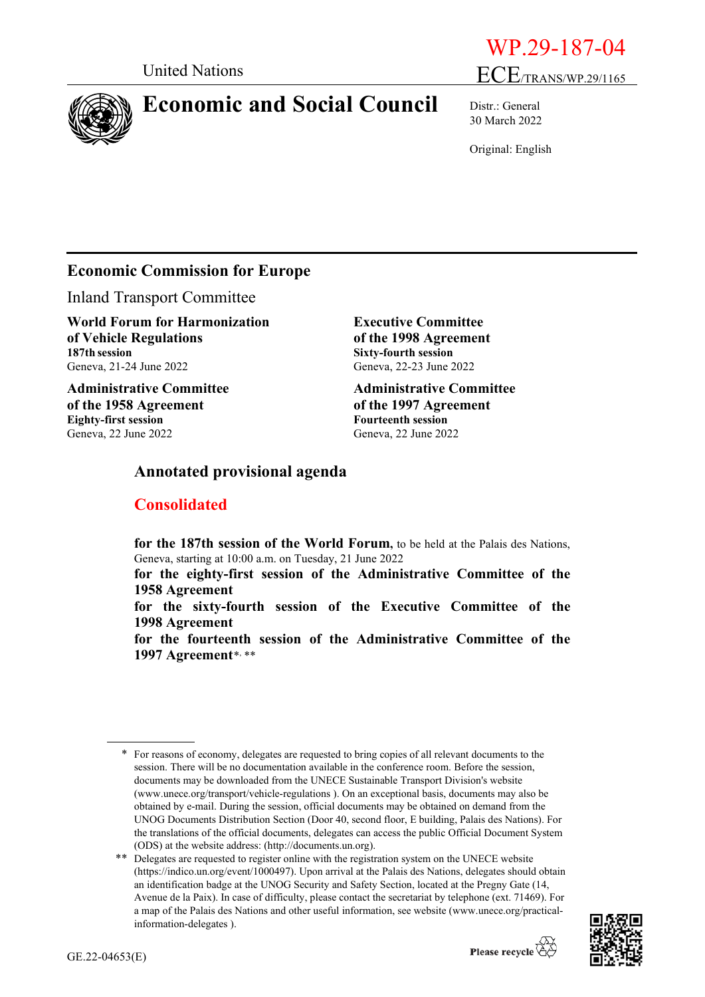

# **Economic and Social Council** Distr.: General



30 March 2022

Original: English

## **Economic Commission for Europe**

Inland Transport Committee

**World Forum for Harmonization of Vehicle Regulations 187th session** Geneva, 21-24 June 2022

**Administrative Committee of the 1958 Agreement Eighty-first session** Geneva, 22 June 2022

**Executive Committee of the 1998 Agreement Sixty-fourth session** Geneva, 22-23 June 2022

**Administrative Committee of the 1997 Agreement Fourteenth session** Geneva, 22 June 2022

## **Annotated provisional agenda**

## **Consolidated**

**for the 187th session of the World Forum,** to be held at the Palais des Nations, Geneva, starting at 10:00 a.m. on Tuesday, 21 June 2022

**for the eighty-first session of the Administrative Committee of the 1958 Agreement**

**for the sixty-fourth session of the Executive Committee of the 1998 Agreement**

**for the fourteenth session of the Administrative Committee of the 1997 Agreement**[\\*](#page-0-0), [\\*\\*](#page-0-1)

<span id="page-0-1"></span><sup>\*\*</sup> Delegates are requested to register online with the registration system on the UNECE website [\(https://indico.un.org/event/1000497\)](https://indico.un.org/event/1000497). Upon arrival at the Palais des Nations, delegates should obtain an identification badge at the UNOG Security and Safety Section, located at the Pregny Gate (14, Avenue de la Paix). In case of difficulty, please contact the secretariat by telephone (ext. 71469). For a map of the Palais des Nations and other useful information, see website [\(www.unece.org/practical](http://www.unece.org/practical-information-delegates)[information-delegates](http://www.unece.org/practical-information-delegates) ).



<span id="page-0-0"></span><sup>\*</sup> For reasons of economy, delegates are requested to bring copies of all relevant documents to the session. There will be no documentation available in the conference room. Before the session, documents may be downloaded from the UNECE Sustainable Transport Division's website [\(www.unece.org/transport/vehicle-regulations](http://www.unece.org/transport/vehicle-regulations) ). On an exceptional basis, documents may also be obtained by e-mail. During the session, official documents may be obtained on demand from the UNOG Documents Distribution Section (Door 40, second floor, E building, Palais des Nations). For the translations of the official documents, delegates can access the public Official Document System (ODS) at the website address: (http://documents.un.org).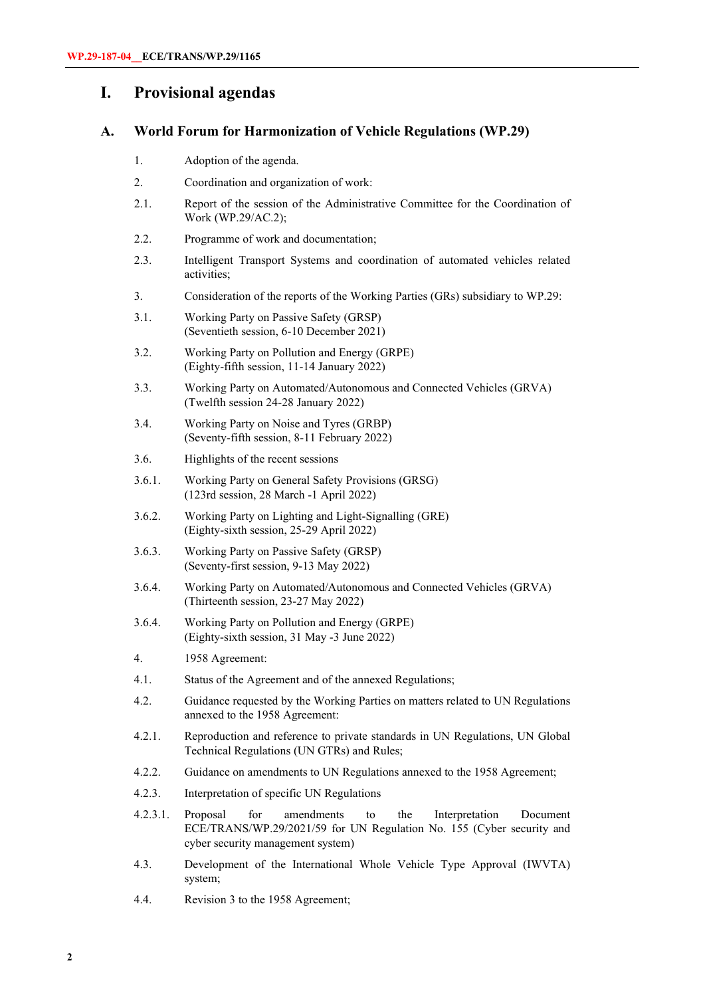## **I. Provisional agendas**

## **A. World Forum for Harmonization of Vehicle Regulations (WP.29)**

- 1. Adoption of the agenda.
- 2. Coordination and organization of work:
- 2.1. Report of the session of the Administrative Committee for the Coordination of Work (WP.29/AC.2);
- 2.2. Programme of work and documentation;
- 2.3. Intelligent Transport Systems and coordination of automated vehicles related activities;
- 3. Consideration of the reports of the Working Parties (GRs) subsidiary to WP.29:
- 3.1. Working Party on Passive Safety (GRSP) (Seventieth session, 6-10 December 2021)
- 3.2. Working Party on Pollution and Energy (GRPE) (Eighty-fifth session, 11-14 January 2022)
- 3.3. Working Party on Automated/Autonomous and Connected Vehicles (GRVA) (Twelfth session 24-28 January 2022)
- 3.4. Working Party on Noise and Tyres (GRBP) (Seventy-fifth session, 8-11 February 2022)
- 3.6. Highlights of the recent sessions
- 3.6.1. Working Party on General Safety Provisions (GRSG) (123rd session, 28 March -1 April 2022)
- 3.6.2. Working Party on Lighting and Light-Signalling (GRE) (Eighty-sixth session, 25-29 April 2022)
- 3.6.3. Working Party on Passive Safety (GRSP) (Seventy-first session, 9-13 May 2022)
- 3.6.4. Working Party on Automated/Autonomous and Connected Vehicles (GRVA) (Thirteenth session, 23-27 May 2022)
- 3.6.4. Working Party on Pollution and Energy (GRPE) (Eighty-sixth session, 31 May -3 June 2022)
- 4. 1958 Agreement:
- 4.1. Status of the Agreement and of the annexed Regulations;
- 4.2. Guidance requested by the Working Parties on matters related to UN Regulations annexed to the 1958 Agreement:
- 4.2.1. Reproduction and reference to private standards in UN Regulations, UN Global Technical Regulations (UN GTRs) and Rules;
- 4.2.2. Guidance on amendments to UN Regulations annexed to the 1958 Agreement;
- 4.2.3. Interpretation of specific UN Regulations
- 4.2.3.1. Proposal for amendments to the Interpretation Document ECE/TRANS/WP.29/2021/59 for UN Regulation No. 155 (Cyber security and cyber security management system)
- 4.3. Development of the International Whole Vehicle Type Approval (IWVTA) system;
- 4.4. Revision 3 to the 1958 Agreement;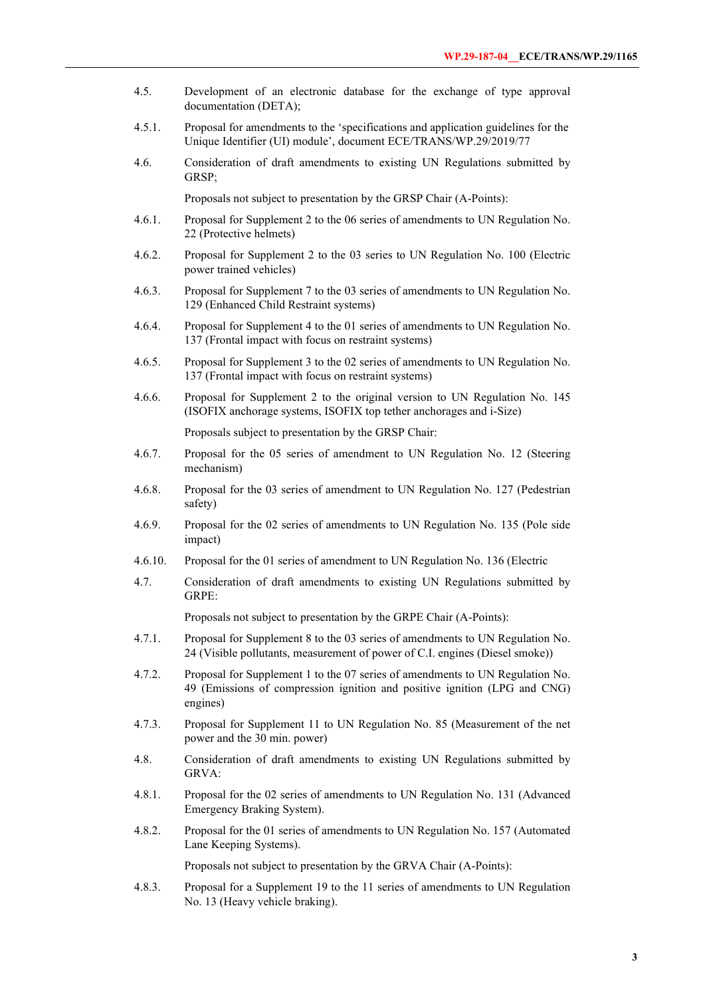- 4.5. Development of an electronic database for the exchange of type approval documentation (DETA);
- 4.5.1. Proposal for amendments to the 'specifications and application guidelines for the Unique Identifier (UI) module', document ECE/TRANS/WP.29/2019/77
- 4.6. Consideration of draft amendments to existing UN Regulations submitted by GRSP;

Proposals not subject to presentation by the GRSP Chair (A-Points):

- 4.6.1. Proposal for Supplement 2 to the 06 series of amendments to UN Regulation No. 22 (Protective helmets)
- 4.6.2. Proposal for Supplement 2 to the 03 series to UN Regulation No. 100 (Electric power trained vehicles)
- 4.6.3. Proposal for Supplement 7 to the 03 series of amendments to UN Regulation No. 129 (Enhanced Child Restraint systems)
- 4.6.4. Proposal for Supplement 4 to the 01 series of amendments to UN Regulation No. 137 (Frontal impact with focus on restraint systems)
- 4.6.5. Proposal for Supplement 3 to the 02 series of amendments to UN Regulation No. 137 (Frontal impact with focus on restraint systems)
- 4.6.6. Proposal for Supplement 2 to the original version to UN Regulation No. 145 (ISOFIX anchorage systems, ISOFIX top tether anchorages and i-Size)

Proposals subject to presentation by the GRSP Chair:

- 4.6.7. Proposal for the 05 series of amendment to UN Regulation No. 12 (Steering mechanism)
- 4.6.8. Proposal for the 03 series of amendment to UN Regulation No. 127 (Pedestrian safety)
- 4.6.9. Proposal for the 02 series of amendments to UN Regulation No. 135 (Pole side impact)
- 4.6.10. Proposal for the 01 series of amendment to UN Regulation No. 136 (Electric
- 4.7. Consideration of draft amendments to existing UN Regulations submitted by GRPE:

Proposals not subject to presentation by the GRPE Chair (A-Points):

- 4.7.1. Proposal for Supplement 8 to the 03 series of amendments to UN Regulation No. 24 (Visible pollutants, measurement of power of C.I. engines (Diesel smoke))
- 4.7.2. Proposal for Supplement 1 to the 07 series of amendments to UN Regulation No. 49 (Emissions of compression ignition and positive ignition (LPG and CNG) engines)
- 4.7.3. Proposal for Supplement 11 to UN Regulation No. 85 (Measurement of the net power and the 30 min. power)
- 4.8. Consideration of draft amendments to existing UN Regulations submitted by GRVA:
- 4.8.1. Proposal for the 02 series of amendments to UN Regulation No. 131 (Advanced Emergency Braking System).
- 4.8.2. Proposal for the 01 series of amendments to UN Regulation No. 157 (Automated Lane Keeping Systems).

Proposals not subject to presentation by the GRVA Chair (A-Points):

4.8.3. Proposal for a Supplement 19 to the 11 series of amendments to UN Regulation No. 13 (Heavy vehicle braking).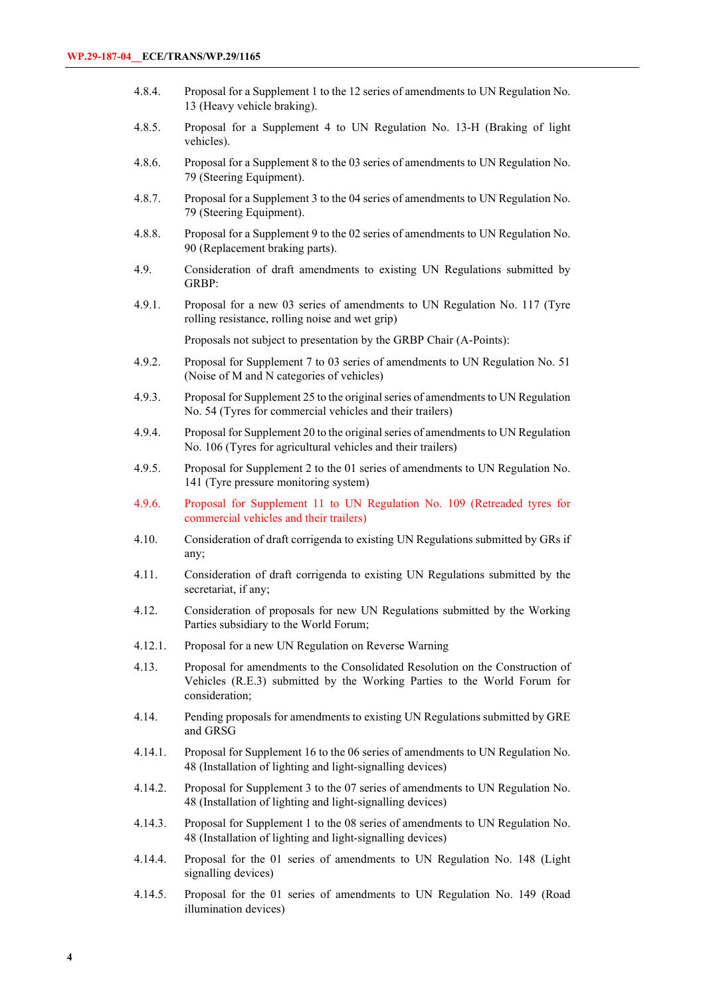- 4.8.4. Proposal for a Supplement 1 to the 12 series of amendments to UN Regulation No. 13 (Heavy vehicle braking).
- 4.8.5. Proposal for a Supplement 4 to UN Regulation No. 13-H (Braking of light vehicles).
- 4.8.6. Proposal for a Supplement 8 to the 03 series of amendments to UN Regulation No. 79 (Steering Equipment).
- 4.8.7. Proposal for a Supplement 3 to the 04 series of amendments to UN Regulation No. 79 (Steering Equipment).
- 4.8.8. Proposal for a Supplement 9 to the 02 series of amendments to UN Regulation No. 90 (Replacement braking parts).
- 4.9. Consideration of draft amendments to existing UN Regulations submitted by GRBP:
- 4.9.1. Proposal for a new 03 series of amendments to UN Regulation No. 117 (Tyre rolling resistance, rolling noise and wet grip)

Proposals not subject to presentation by the GRBP Chair (A-Points):

- 4.9.2. Proposal for Supplement 7 to 03 series of amendments to UN Regulation No. 51 (Noise of M and N categories of vehicles)
- 4.9.3. Proposal for Supplement 25 to the original series of amendments to UN Regulation No. 54 (Tyres for commercial vehicles and their trailers)
- 4.9.4. Proposal for Supplement 20 to the original series of amendments to UN Regulation No. 106 (Tyres for agricultural vehicles and their trailers)
- 4.9.5. Proposal for Supplement 2 to the 01 series of amendments to UN Regulation No. 141 (Tyre pressure monitoring system)
- 4.9.6. Proposal for Supplement 11 to UN Regulation No. 109 (Retreaded tyres for commercial vehicles and their trailers)
- 4.10. Consideration of draft corrigenda to existing UN Regulations submitted by GRs if any;
- 4.11. Consideration of draft corrigenda to existing UN Regulations submitted by the secretariat, if any;
- 4.12. Consideration of proposals for new UN Regulations submitted by the Working Parties subsidiary to the World Forum;
- 4.12.1. Proposal for a new UN Regulation on Reverse Warning
- 4.13. Proposal for amendments to the Consolidated Resolution on the Construction of Vehicles (R.E.3) submitted by the Working Parties to the World Forum for consideration;
- 4.14. Pending proposals for amendments to existing UN Regulations submitted by GRE and GRSG
- 4.14.1. Proposal for Supplement 16 to the 06 series of amendments to UN Regulation No. 48 (Installation of lighting and light-signalling devices)
- 4.14.2. Proposal for Supplement 3 to the 07 series of amendments to UN Regulation No. 48 (Installation of lighting and light-signalling devices)
- 4.14.3. Proposal for Supplement 1 to the 08 series of amendments to UN Regulation No. 48 (Installation of lighting and light-signalling devices)
- 4.14.4. Proposal for the 01 series of amendments to UN Regulation No. 148 (Light signalling devices)
- 4.14.5. Proposal for the 01 series of amendments to UN Regulation No. 149 (Road illumination devices)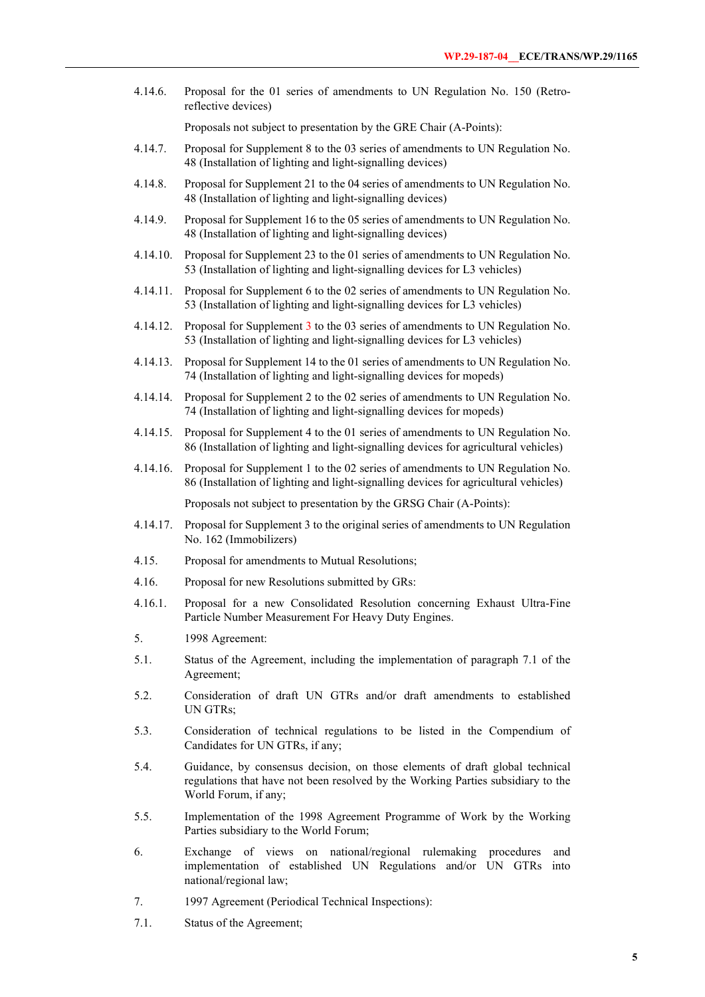4.14.6. Proposal for the 01 series of amendments to UN Regulation No. 150 (Retroreflective devices)

Proposals not subject to presentation by the GRE Chair (A-Points):

- 4.14.7. Proposal for Supplement 8 to the 03 series of amendments to UN Regulation No. 48 (Installation of lighting and light-signalling devices)
- 4.14.8. Proposal for Supplement 21 to the 04 series of amendments to UN Regulation No. 48 (Installation of lighting and light-signalling devices)
- 4.14.9. Proposal for Supplement 16 to the 05 series of amendments to UN Regulation No. 48 (Installation of lighting and light-signalling devices)
- 4.14.10. Proposal for Supplement 23 to the 01 series of amendments to UN Regulation No. 53 (Installation of lighting and light-signalling devices for L3 vehicles)
- 4.14.11. Proposal for Supplement 6 to the 02 series of amendments to UN Regulation No. 53 (Installation of lighting and light-signalling devices for L3 vehicles)
- 4.14.12. Proposal for Supplement 3 to the 03 series of amendments to UN Regulation No. 53 (Installation of lighting and light-signalling devices for L3 vehicles)
- 4.14.13. Proposal for Supplement 14 to the 01 series of amendments to UN Regulation No. 74 (Installation of lighting and light-signalling devices for mopeds)
- 4.14.14. Proposal for Supplement 2 to the 02 series of amendments to UN Regulation No. 74 (Installation of lighting and light-signalling devices for mopeds)
- 4.14.15. Proposal for Supplement 4 to the 01 series of amendments to UN Regulation No. 86 (Installation of lighting and light-signalling devices for agricultural vehicles)
- 4.14.16. Proposal for Supplement 1 to the 02 series of amendments to UN Regulation No. 86 (Installation of lighting and light-signalling devices for agricultural vehicles)

Proposals not subject to presentation by the GRSG Chair (A-Points):

- 4.14.17. Proposal for Supplement 3 to the original series of amendments to UN Regulation No. 162 (Immobilizers)
- 4.15. Proposal for amendments to Mutual Resolutions;
- 4.16. Proposal for new Resolutions submitted by GRs:
- 4.16.1. Proposal for a new Consolidated Resolution concerning Exhaust Ultra-Fine Particle Number Measurement For Heavy Duty Engines.
- 5. 1998 Agreement:
- 5.1. Status of the Agreement, including the implementation of paragraph 7.1 of the Agreement;
- 5.2. Consideration of draft UN GTRs and/or draft amendments to established UN GTRs;
- 5.3. Consideration of technical regulations to be listed in the Compendium of Candidates for UN GTRs, if any;
- 5.4. Guidance, by consensus decision, on those elements of draft global technical regulations that have not been resolved by the Working Parties subsidiary to the World Forum, if any;
- 5.5. Implementation of the 1998 Agreement Programme of Work by the Working Parties subsidiary to the World Forum;
- 6. Exchange of views on national/regional rulemaking procedures and implementation of established UN Regulations and/or UN GTRs into national/regional law;
- 7. 1997 Agreement (Periodical Technical Inspections):
- 7.1. Status of the Agreement;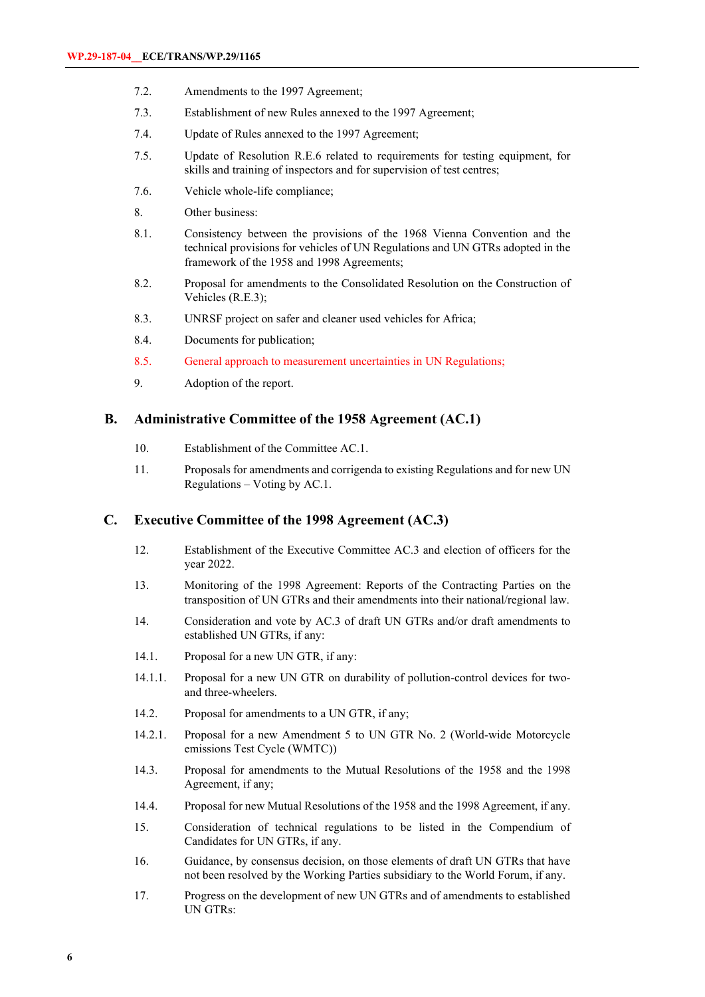- 7.2. Amendments to the 1997 Agreement;
- 7.3. Establishment of new Rules annexed to the 1997 Agreement;
- 7.4. Update of Rules annexed to the 1997 Agreement;
- 7.5. Update of Resolution R.E.6 related to requirements for testing equipment, for skills and training of inspectors and for supervision of test centres;
- 7.6. Vehicle whole-life compliance;
- 8. Other business:
- 8.1. Consistency between the provisions of the 1968 Vienna Convention and the technical provisions for vehicles of UN Regulations and UN GTRs adopted in the framework of the 1958 and 1998 Agreements;
- 8.2. Proposal for amendments to the Consolidated Resolution on the Construction of Vehicles (R.E.3);
- 8.3. UNRSF project on safer and cleaner used vehicles for Africa;
- 8.4. Documents for publication;
- 8.5. General approach to measurement uncertainties in UN Regulations;
- 9. Adoption of the report.

## **B. Administrative Committee of the 1958 Agreement (AC.1)**

- 10. Establishment of the Committee AC.1.
- 11. Proposals for amendments and corrigenda to existing Regulations and for new UN Regulations – Voting by AC.1.

## **C. Executive Committee of the 1998 Agreement (AC.3)**

- 12. Establishment of the Executive Committee AC.3 and election of officers for the year 2022.
- 13. Monitoring of the 1998 Agreement: Reports of the Contracting Parties on the transposition of UN GTRs and their amendments into their national/regional law.
- 14. Consideration and vote by AC.3 of draft UN GTRs and/or draft amendments to established UN GTRs, if any:
- 14.1. Proposal for a new UN GTR, if any:
- 14.1.1. Proposal for a new UN GTR on durability of pollution-control devices for twoand three-wheelers.
- 14.2. Proposal for amendments to a UN GTR, if any;
- 14.2.1. Proposal for a new Amendment 5 to UN GTR No. 2 (World-wide Motorcycle emissions Test Cycle (WMTC))
- 14.3. Proposal for amendments to the Mutual Resolutions of the 1958 and the 1998 Agreement, if any;
- 14.4. Proposal for new Mutual Resolutions of the 1958 and the 1998 Agreement, if any.
- 15. Consideration of technical regulations to be listed in the Compendium of Candidates for UN GTRs, if any.
- 16. Guidance, by consensus decision, on those elements of draft UN GTRs that have not been resolved by the Working Parties subsidiary to the World Forum, if any.
- 17. Progress on the development of new UN GTRs and of amendments to established UN GTRs: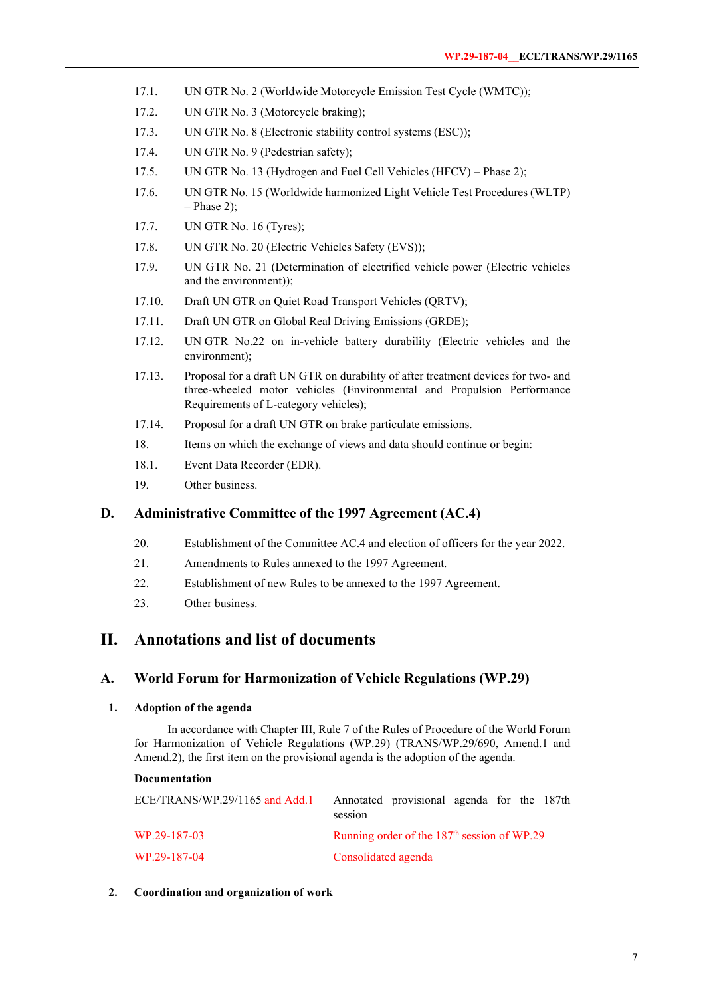- 17.1. UN GTR No. 2 (Worldwide Motorcycle Emission Test Cycle (WMTC));
- 17.2. UN GTR No. 3 (Motorcycle braking);
- 17.3. UN GTR No. 8 (Electronic stability control systems (ESC));
- 17.4. UN GTR No. 9 (Pedestrian safety);
- 17.5. UN GTR No. 13 (Hydrogen and Fuel Cell Vehicles (HFCV) Phase 2);
- 17.6. UN GTR No. 15 (Worldwide harmonized Light Vehicle Test Procedures (WLTP)  $-$  Phase 2);
- 17.7. UN GTR No. 16 (Tyres);
- 17.8. UN GTR No. 20 (Electric Vehicles Safety (EVS));
- 17.9. UN GTR No. 21 (Determination of electrified vehicle power (Electric vehicles and the environment));
- 17.10. Draft UN GTR on Quiet Road Transport Vehicles (QRTV);
- 17.11. Draft UN GTR on Global Real Driving Emissions (GRDE);
- 17.12. UN GTR No.22 on in-vehicle battery durability (Electric vehicles and the environment);
- 17.13. Proposal for a draft UN GTR on durability of after treatment devices for two- and three-wheeled motor vehicles (Environmental and Propulsion Performance Requirements of L-category vehicles);
- 17.14. Proposal for a draft UN GTR on brake particulate emissions.
- 18. Items on which the exchange of views and data should continue or begin:
- 18.1. Event Data Recorder (EDR).
- 19. Other business.

## **D. Administrative Committee of the 1997 Agreement (AC.4)**

- 20. Establishment of the Committee AC.4 and election of officers for the year 2022.
- 21. Amendments to Rules annexed to the 1997 Agreement.
- 22. Establishment of new Rules to be annexed to the 1997 Agreement.
- 23. Other business.

## **II. Annotations and list of documents**

## **A. World Forum for Harmonization of Vehicle Regulations (WP.29)**

## **1. Adoption of the agenda**

In accordance with Chapter III, Rule 7 of the Rules of Procedure of the World Forum for Harmonization of Vehicle Regulations (WP.29) (TRANS/WP.29/690, Amend.1 and Amend.2), the first item on the provisional agenda is the adoption of the agenda.

#### **Documentation**

| ECE/TRANS/WP.29/1165 and Add.1 | Annotated provisional agenda for the 187th<br>session |
|--------------------------------|-------------------------------------------------------|
| WP.29-187-03                   | Running order of the $187th$ session of WP.29         |
| WP.29-187-04                   | Consolidated agenda                                   |

#### **2. Coordination and organization of work**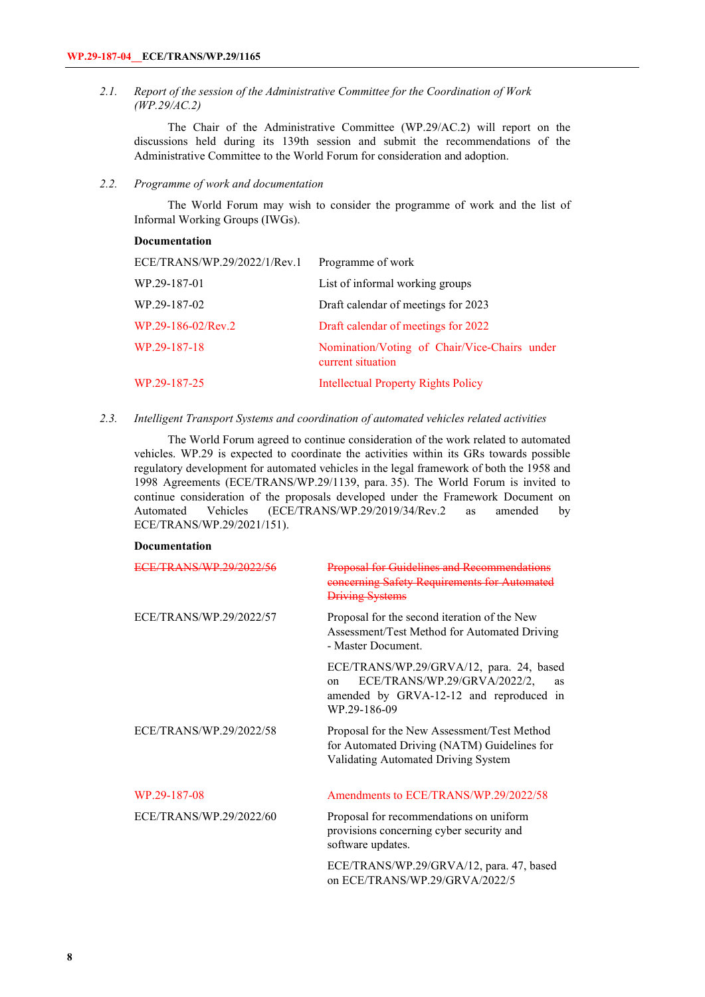*2.1. Report of the session of the Administrative Committee for the Coordination of Work (WP.29/AC.2)* 

The Chair of the Administrative Committee (WP.29/AC.2) will report on the discussions held during its 139th session and submit the recommendations of the Administrative Committee to the World Forum for consideration and adoption.

*2.2. Programme of work and documentation*

The World Forum may wish to consider the programme of work and the list of Informal Working Groups (IWGs).

#### **Documentation**

| ECE/TRANS/WP.29/2022/1/Rev.1 | Programme of work                                                 |
|------------------------------|-------------------------------------------------------------------|
| WP.29-187-01                 | List of informal working groups                                   |
| WP.29-187-02                 | Draft calendar of meetings for 2023                               |
| WP.29-186-02/Rev.2           | Draft calendar of meetings for 2022                               |
| WP.29-187-18                 | Nomination/Voting of Chair/Vice-Chairs under<br>current situation |
| WP.29-187-25                 | <b>Intellectual Property Rights Policy</b>                        |

*2.3. Intelligent Transport Systems and coordination of automated vehicles related activities* 

The World Forum agreed to continue consideration of the work related to automated vehicles. WP.29 is expected to coordinate the activities within its GRs towards possible regulatory development for automated vehicles in the legal framework of both the 1958 and 1998 Agreements (ECE/TRANS/WP.29/1139, para. 35). The World Forum is invited to continue consideration of the proposals developed under the Framework Document on Automated Vehicles (ECE/TRANS/WP.29/2019/34/Rev.2 as amended by ECE/TRANS/WP.29/2021/151).

#### **Documentation**

| <u>/TRANS/WP 20/2022/56</u> | <b>Proposal for Guidelines and Recommendations</b><br>concerning Safety Requirements for Automated<br><b>Driving Systems</b>                           |
|-----------------------------|--------------------------------------------------------------------------------------------------------------------------------------------------------|
| ECE/TRANS/WP.29/2022/57     | Proposal for the second iteration of the New<br>Assessment/Test Method for Automated Driving<br>- Master Document.                                     |
|                             | ECE/TRANS/WP.29/GRVA/12, para. 24, based<br>ECE/TRANS/WP.29/GRVA/2022/2,<br>on<br><b>as</b><br>amended by GRVA-12-12 and reproduced in<br>WP.29-186-09 |
| ECE/TRANS/WP.29/2022/58     | Proposal for the New Assessment/Test Method<br>for Automated Driving (NATM) Guidelines for<br>Validating Automated Driving System                      |
| WP.29-187-08                | Amendments to ECE/TRANS/WP.29/2022/58                                                                                                                  |
| ECE/TRANS/WP.29/2022/60     | Proposal for recommendations on uniform<br>provisions concerning cyber security and<br>software updates.                                               |
|                             | ECE/TRANS/WP.29/GRVA/12, para. 47, based                                                                                                               |

on ECE/TRANS/WP.29/GRVA/2022/5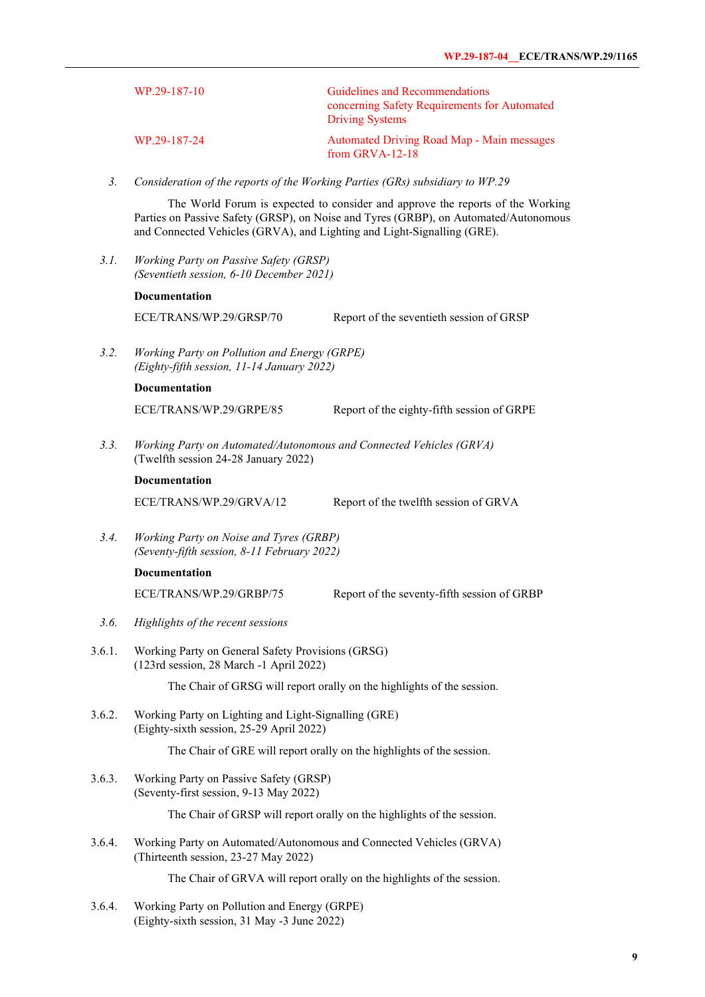| WP.29-187-10 | Guidelines and Recommendations<br>concerning Safety Requirements for Automated<br><b>Driving Systems</b> |
|--------------|----------------------------------------------------------------------------------------------------------|
| WP.29-187-24 | Automated Driving Road Map - Main messages<br>from GRVA-12-18                                            |

*3. Consideration of the reports of the Working Parties (GRs) subsidiary to WP.29*

The World Forum is expected to consider and approve the reports of the Working Parties on Passive Safety (GRSP), on Noise and Tyres (GRBP), on Automated/Autonomous and Connected Vehicles (GRVA), and Lighting and Light-Signalling (GRE).

*3.1. Working Party on Passive Safety (GRSP) (Seventieth session, 6-10 December 2021)*

#### **Documentation**

ECE/TRANS/WP.29/GRSP/70 Report of the seventieth session of GRSP

*3.2. Working Party on Pollution and Energy (GRPE) (Eighty-fifth session, 11-14 January 2022)*

#### **Documentation**

ECE/TRANS/WP.29/GRPE/85 Report of the eighty-fifth session of GRPE

*3.3. Working Party on Automated/Autonomous and Connected Vehicles (GRVA)* (Twelfth session 24-28 January 2022)

#### **Documentation**

ECE/TRANS/WP.29/GRVA/12 Report of the twelfth session of GRVA

*3.4. Working Party on Noise and Tyres (GRBP) (Seventy-fifth session, 8-11 February 2022)*

#### **Documentation**

ECE/TRANS/WP.29/GRBP/75 Report of the seventy-fifth session of GRBP

- *3.6. Highlights of the recent sessions*
- 3.6.1. Working Party on General Safety Provisions (GRSG) (123rd session, 28 March -1 April 2022)

The Chair of GRSG will report orally on the highlights of the session.

3.6.2. Working Party on Lighting and Light-Signalling (GRE) (Eighty-sixth session, 25-29 April 2022)

The Chair of GRE will report orally on the highlights of the session.

3.6.3. Working Party on Passive Safety (GRSP) (Seventy-first session, 9-13 May 2022)

The Chair of GRSP will report orally on the highlights of the session.

3.6.4. Working Party on Automated/Autonomous and Connected Vehicles (GRVA) (Thirteenth session, 23-27 May 2022)

The Chair of GRVA will report orally on the highlights of the session.

3.6.4. Working Party on Pollution and Energy (GRPE) (Eighty-sixth session, 31 May -3 June 2022)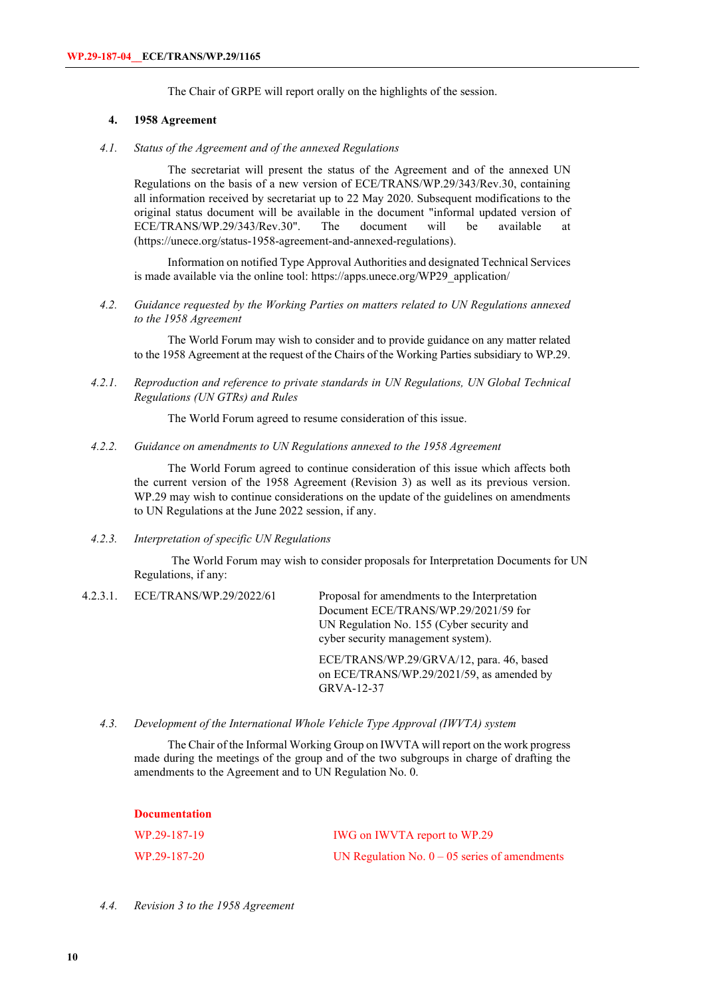The Chair of GRPE will report orally on the highlights of the session.

#### **4. 1958 Agreement**

*4.1. Status of the Agreement and of the annexed Regulations*

The secretariat will present the status of the Agreement and of the annexed UN Regulations on the basis of a new version of ECE/TRANS/WP.29/343/Rev.30, containing all information received by secretariat up to 22 May 2020. Subsequent modifications to the original status document will be available in the document "informal updated version of ECE/TRANS/WP.29/343/Rev.30". The document will be available at ECE/TRANS/WP.29/343/Rev.30". The document will be available at [\(https://unece.org/status-1958-agreement-and-annexed-regulations\)](https://unece.org/status-1958-agreement-and-annexed-regulations).

Information on notified Type Approval Authorities and designated Technical Services is made available via the online tool: [https://apps.unece.org/WP29\\_application/](https://apps.unece.org/WP29_application/)

*4.2. Guidance requested by the Working Parties on matters related to UN Regulations annexed to the 1958 Agreement*

The World Forum may wish to consider and to provide guidance on any matter related to the 1958 Agreement at the request of the Chairs of the Working Parties subsidiary to WP.29.

*4.2.1. Reproduction and reference to private standards in UN Regulations, UN Global Technical Regulations (UN GTRs) and Rules*

The World Forum agreed to resume consideration of this issue.

*4.2.2. Guidance on amendments to UN Regulations annexed to the 1958 Agreement*

The World Forum agreed to continue consideration of this issue which affects both the current version of the 1958 Agreement (Revision 3) as well as its previous version. WP.29 may wish to continue considerations on the update of the guidelines on amendments to UN Regulations at the June 2022 session, if any.

*4.2.3. Interpretation of specific UN Regulations*

The World Forum may wish to consider proposals for Interpretation Documents for UN Regulations, if any:

4.2.3.1. ECE/TRANS/WP.29/2022/61 Proposal for amendments to the Interpretation Document ECE/TRANS/WP.29/2021/59 for UN Regulation No. 155 (Cyber security and cyber security management system).

> ECE/TRANS/WP.29/GRVA/12, para. 46, based on ECE/TRANS/WP.29/2021/59, as amended by GRVA-12-37

*4.3. Development of the International Whole Vehicle Type Approval (IWVTA) system*

The Chair of the Informal Working Group on IWVTA will report on the work progress made during the meetings of the group and of the two subgroups in charge of drafting the amendments to the Agreement and to UN Regulation No. 0.

| - Documentation |                                                 |
|-----------------|-------------------------------------------------|
| WP.29-187-19    | IWG on IWVTA report to WP.29                    |
| WP.29-187-20    | UN Regulation No. $0 - 05$ series of amendments |

#### *4.4. Revision 3 to the 1958 Agreement*

**Documentation**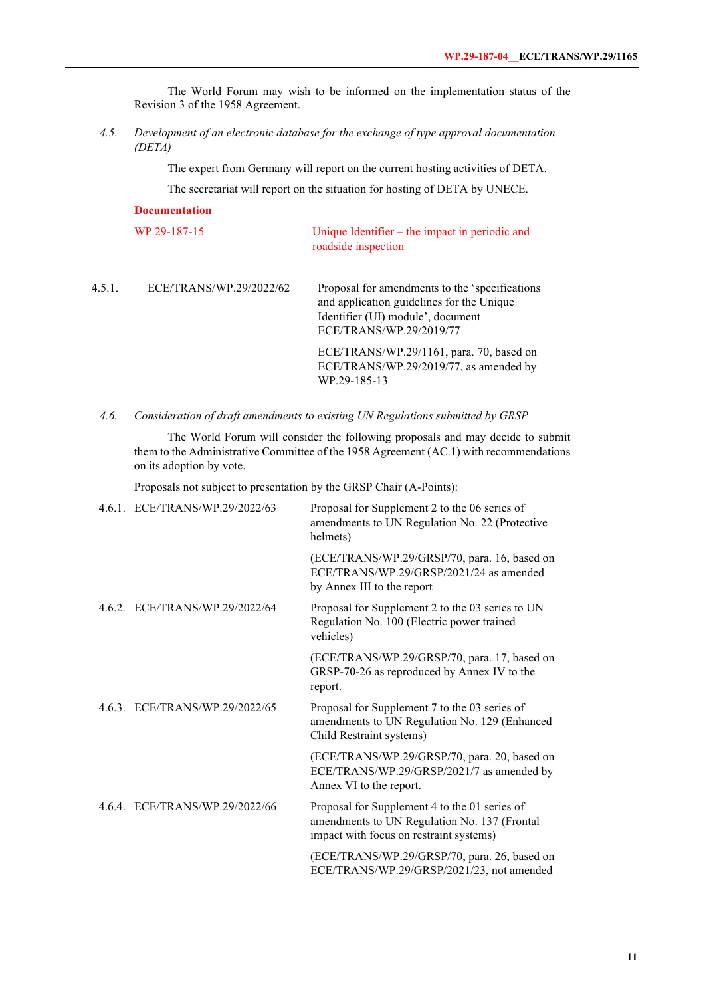The World Forum may wish to be informed on the implementation status of the Revision 3 of the 1958 Agreement.

*4.5. Development of an electronic database for the exchange of type approval documentation (DETA)*

The expert from Germany will report on the current hosting activities of DETA.

The secretariat will report on the situation for hosting of DETA by UNECE.

|        | <b>Documentation</b>    |                                                                                                                                                                                                                                                                    |
|--------|-------------------------|--------------------------------------------------------------------------------------------------------------------------------------------------------------------------------------------------------------------------------------------------------------------|
|        | WP.29-187-15            | Unique Identifier $-$ the impact in periodic and<br>roadside inspection                                                                                                                                                                                            |
| 4.5.1. | ECE/TRANS/WP.29/2022/62 | Proposal for amendments to the 'specifications'<br>and application guidelines for the Unique<br>Identifier (UI) module', document<br>ECE/TRANS/WP.29/2019/77<br>ECE/TRANS/WP.29/1161, para. 70, based on<br>ECE/TRANS/WP.29/2019/77, as amended by<br>WP.29-185-13 |
|        |                         |                                                                                                                                                                                                                                                                    |

*4.6. Consideration of draft amendments to existing UN Regulations submitted by GRSP*

The World Forum will consider the following proposals and may decide to submit them to the Administrative Committee of the 1958 Agreement (AC.1) with recommendations on its adoption by vote.

Proposals not subject to presentation by the GRSP Chair (A-Points):

| 4.6.1. ECE/TRANS/WP.29/2022/63 | Proposal for Supplement 2 to the 06 series of<br>amendments to UN Regulation No. 22 (Protective<br>helmets)                              |
|--------------------------------|------------------------------------------------------------------------------------------------------------------------------------------|
|                                | (ECE/TRANS/WP.29/GRSP/70, para. 16, based on<br>ECE/TRANS/WP.29/GRSP/2021/24 as amended<br>by Annex III to the report                    |
| 4.6.2. ECE/TRANS/WP.29/2022/64 | Proposal for Supplement 2 to the 03 series to UN<br>Regulation No. 100 (Electric power trained<br>vehicles)                              |
|                                | (ECE/TRANS/WP.29/GRSP/70, para. 17, based on<br>GRSP-70-26 as reproduced by Annex IV to the<br>report.                                   |
| 4.6.3. ECE/TRANS/WP.29/2022/65 | Proposal for Supplement 7 to the 03 series of<br>amendments to UN Regulation No. 129 (Enhanced<br>Child Restraint systems)               |
|                                | (ECE/TRANS/WP.29/GRSP/70, para. 20, based on<br>ECE/TRANS/WP.29/GRSP/2021/7 as amended by<br>Annex VI to the report.                     |
| 4.6.4. ECE/TRANS/WP.29/2022/66 | Proposal for Supplement 4 to the 01 series of<br>amendments to UN Regulation No. 137 (Frontal<br>impact with focus on restraint systems) |
|                                | (ECE/TRANS/WP.29/GRSP/70, para. 26, based on<br>ECE/TRANS/WP.29/GRSP/2021/23, not amended                                                |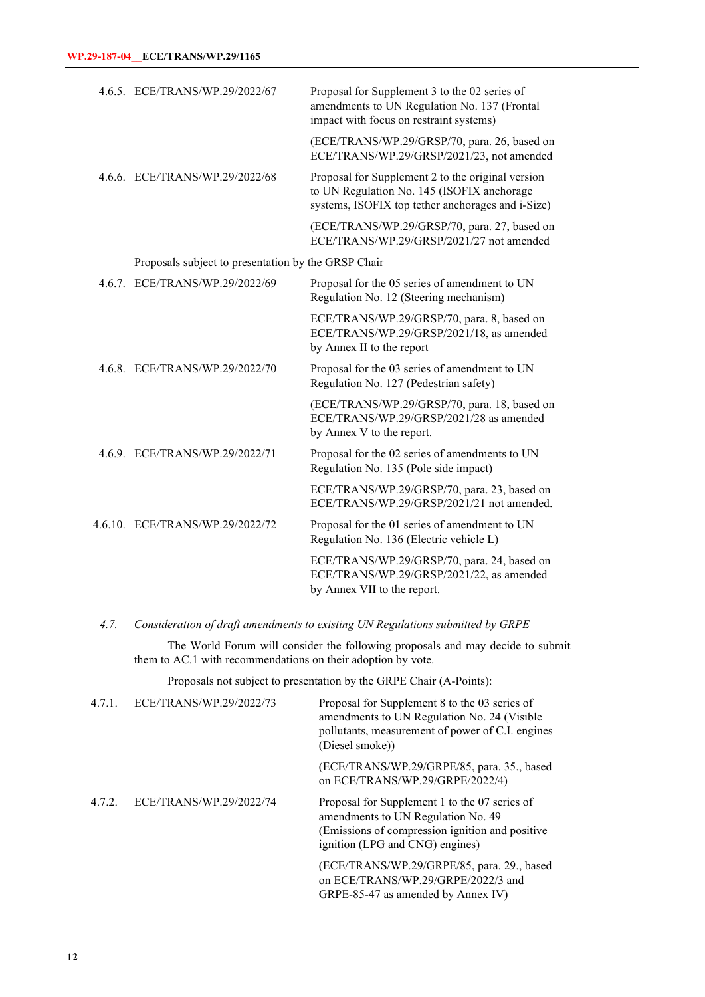| 4.6.5. ECE/TRANS/WP.29/2022/67                      | Proposal for Supplement 3 to the 02 series of<br>amendments to UN Regulation No. 137 (Frontal<br>impact with focus on restraint systems)             |
|-----------------------------------------------------|------------------------------------------------------------------------------------------------------------------------------------------------------|
|                                                     | (ECE/TRANS/WP.29/GRSP/70, para. 26, based on<br>ECE/TRANS/WP.29/GRSP/2021/23, not amended                                                            |
| 4.6.6. ECE/TRANS/WP.29/2022/68                      | Proposal for Supplement 2 to the original version<br>to UN Regulation No. 145 (ISOFIX anchorage<br>systems, ISOFIX top tether anchorages and i-Size) |
|                                                     | (ECE/TRANS/WP.29/GRSP/70, para. 27, based on<br>ECE/TRANS/WP.29/GRSP/2021/27 not amended                                                             |
| Proposals subject to presentation by the GRSP Chair |                                                                                                                                                      |
| 4.6.7. ECE/TRANS/WP.29/2022/69                      | Proposal for the 05 series of amendment to UN<br>Regulation No. 12 (Steering mechanism)                                                              |
|                                                     | ECE/TRANS/WP.29/GRSP/70, para. 8, based on<br>ECE/TRANS/WP.29/GRSP/2021/18, as amended<br>by Annex II to the report                                  |
| 4.6.8. ECE/TRANS/WP.29/2022/70                      | Proposal for the 03 series of amendment to UN<br>Regulation No. 127 (Pedestrian safety)                                                              |
|                                                     | (ECE/TRANS/WP.29/GRSP/70, para. 18, based on<br>ECE/TRANS/WP.29/GRSP/2021/28 as amended<br>by Annex V to the report.                                 |
| 4.6.9. ECE/TRANS/WP.29/2022/71                      | Proposal for the 02 series of amendments to UN<br>Regulation No. 135 (Pole side impact)                                                              |
|                                                     | ECE/TRANS/WP.29/GRSP/70, para. 23, based on<br>ECE/TRANS/WP.29/GRSP/2021/21 not amended.                                                             |
| 4.6.10. ECE/TRANS/WP.29/2022/72                     | Proposal for the 01 series of amendment to UN<br>Regulation No. 136 (Electric vehicle L)                                                             |
|                                                     | ECE/TRANS/WP.29/GRSP/70, para. 24, based on<br>ECE/TRANS/WP.29/GRSP/2021/22, as amended<br>by Annex VII to the report.                               |

*4.7. Consideration of draft amendments to existing UN Regulations submitted by GRPE*

The World Forum will consider the following proposals and may decide to submit them to AC.1 with recommendations on their adoption by vote.

Proposals not subject to presentation by the GRPE Chair (A-Points):

| 4.7.1. | ECE/TRANS/WP.29/2022/73 | Proposal for Supplement 8 to the 03 series of<br>amendments to UN Regulation No. 24 (Visible<br>pollutants, measurement of power of C.I. engines<br>(Diesel smoke))       |
|--------|-------------------------|---------------------------------------------------------------------------------------------------------------------------------------------------------------------------|
|        |                         | (ECE/TRANS/WP.29/GRPE/85, para. 35., based<br>on ECE/TRANS/WP.29/GRPE/2022/4)                                                                                             |
| 4.7.2. | ECE/TRANS/WP.29/2022/74 | Proposal for Supplement 1 to the 07 series of<br>amendments to UN Regulation No. 49<br>(Emissions of compression ignition and positive<br>ignition (LPG and CNG) engines) |
|        |                         | (ECE/TRANS/WP.29/GRPE/85, para. 29., based<br>on ECE/TRANS/WP.29/GRPE/2022/3 and<br>GRPE-85-47 as amended by Annex IV)                                                    |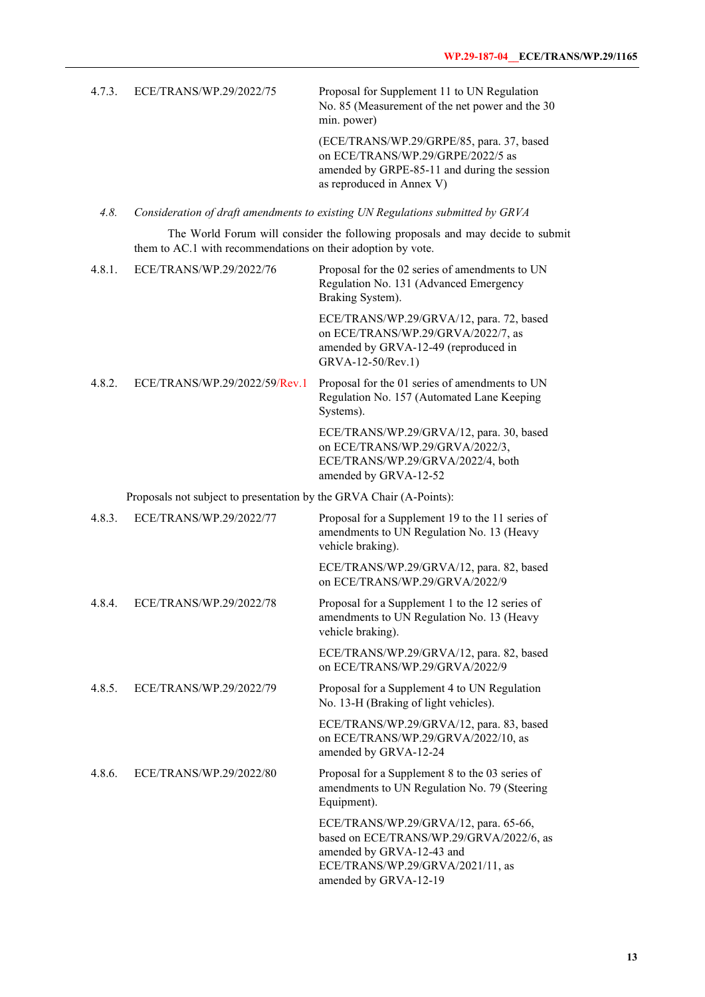| 4.7.3. | ECE/TRANS/WP.29/2022/75 | Proposal for Supplement 11 to UN Regulation<br>No. 85 (Measurement of the net power and the 30<br>min. power)                                               |
|--------|-------------------------|-------------------------------------------------------------------------------------------------------------------------------------------------------------|
|        |                         | (ECE/TRANS/WP.29/GRPE/85, para. 37, based<br>on ECE/TRANS/WP.29/GRPE/2022/5 as<br>amended by GRPE-85-11 and during the session<br>as reproduced in Annex V) |

*4.8. Consideration of draft amendments to existing UN Regulations submitted by GRVA*

The World Forum will consider the following proposals and may decide to submit them to AC.1 with recommendations on their adoption by vote.

| 4.8.1. | ECE/TRANS/WP.29/2022/76                                             | Proposal for the 02 series of amendments to UN<br>Regulation No. 131 (Advanced Emergency<br>Braking System).                                                                |
|--------|---------------------------------------------------------------------|-----------------------------------------------------------------------------------------------------------------------------------------------------------------------------|
|        |                                                                     | ECE/TRANS/WP.29/GRVA/12, para. 72, based<br>on ECE/TRANS/WP.29/GRVA/2022/7, as<br>amended by GRVA-12-49 (reproduced in<br>GRVA-12-50/Rev.1)                                 |
| 4.8.2. | ECE/TRANS/WP.29/2022/59/Rev.1                                       | Proposal for the 01 series of amendments to UN<br>Regulation No. 157 (Automated Lane Keeping<br>Systems).                                                                   |
|        |                                                                     | ECE/TRANS/WP.29/GRVA/12, para. 30, based<br>on ECE/TRANS/WP.29/GRVA/2022/3,<br>ECE/TRANS/WP.29/GRVA/2022/4, both<br>amended by GRVA-12-52                                   |
|        | Proposals not subject to presentation by the GRVA Chair (A-Points): |                                                                                                                                                                             |
| 4.8.3. | ECE/TRANS/WP.29/2022/77                                             | Proposal for a Supplement 19 to the 11 series of<br>amendments to UN Regulation No. 13 (Heavy<br>vehicle braking).                                                          |
|        |                                                                     | ECE/TRANS/WP.29/GRVA/12, para. 82, based<br>on ECE/TRANS/WP.29/GRVA/2022/9                                                                                                  |
| 4.8.4. | ECE/TRANS/WP.29/2022/78                                             | Proposal for a Supplement 1 to the 12 series of<br>amendments to UN Regulation No. 13 (Heavy<br>vehicle braking).                                                           |
|        |                                                                     | ECE/TRANS/WP.29/GRVA/12, para. 82, based<br>on ECE/TRANS/WP.29/GRVA/2022/9                                                                                                  |
| 4.8.5. | ECE/TRANS/WP.29/2022/79                                             | Proposal for a Supplement 4 to UN Regulation<br>No. 13-H (Braking of light vehicles).                                                                                       |
|        |                                                                     | ECE/TRANS/WP.29/GRVA/12, para. 83, based<br>on ECE/TRANS/WP.29/GRVA/2022/10, as<br>amended by GRVA-12-24                                                                    |
| 4.8.6. | ECE/TRANS/WP.29/2022/80                                             | Proposal for a Supplement 8 to the 03 series of<br>amendments to UN Regulation No. 79 (Steering<br>Equipment).                                                              |
|        |                                                                     | ECE/TRANS/WP.29/GRVA/12, para. 65-66,<br>based on ECE/TRANS/WP.29/GRVA/2022/6, as<br>amended by GRVA-12-43 and<br>ECE/TRANS/WP.29/GRVA/2021/11, as<br>amended by GRVA-12-19 |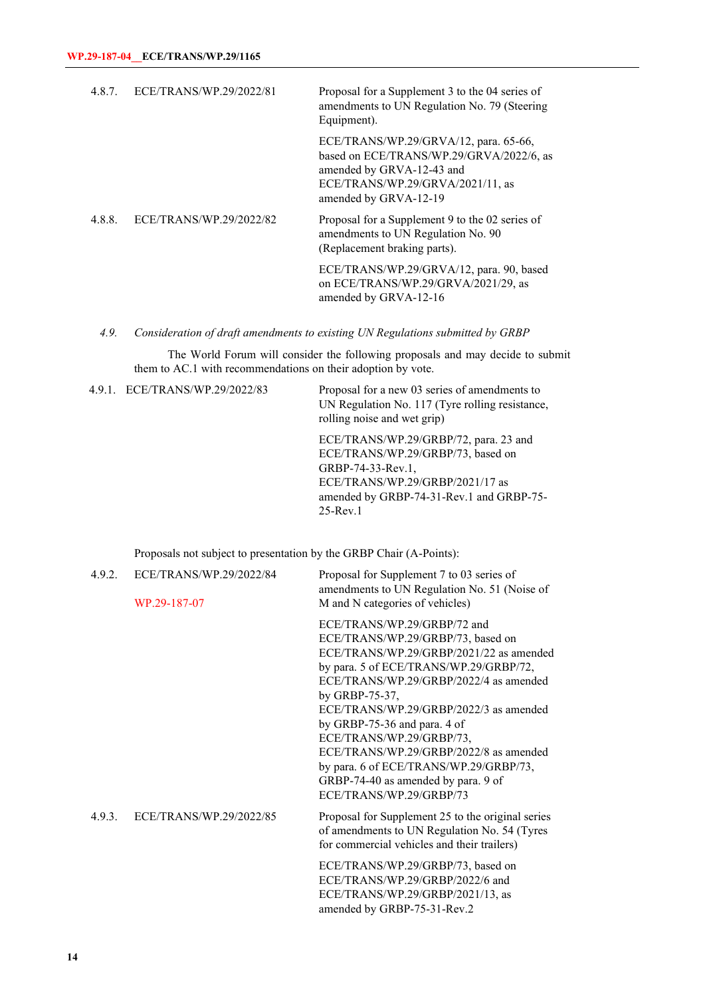| 4.8.7. | ECE/TRANS/WP.29/2022/81 | Proposal for a Supplement 3 to the 04 series of<br>amendments to UN Regulation No. 79 (Steering<br>Equipment).                                                              |
|--------|-------------------------|-----------------------------------------------------------------------------------------------------------------------------------------------------------------------------|
|        |                         | ECE/TRANS/WP.29/GRVA/12, para. 65-66,<br>based on ECE/TRANS/WP.29/GRVA/2022/6, as<br>amended by GRVA-12-43 and<br>ECE/TRANS/WP.29/GRVA/2021/11, as<br>amended by GRVA-12-19 |
| 4.8.8. | ECE/TRANS/WP.29/2022/82 | Proposal for a Supplement 9 to the 02 series of<br>amendments to UN Regulation No. 90<br>(Replacement braking parts).                                                       |
|        |                         | ECE/TRANS/WP.29/GRVA/12, para. 90, based<br>on ECE/TRANS/WP.29/GRVA/2021/29, as<br>amended by GRVA-12-16                                                                    |

*4.9. Consideration of draft amendments to existing UN Regulations submitted by GRBP*

The World Forum will consider the following proposals and may decide to submit them to AC.1 with recommendations on their adoption by vote.

4.9.1. ECE/TRANS/WP.29/2022/83 Proposal for a new 03 series of amendments to UN Regulation No. 117 (Tyre rolling resistance, rolling noise and wet grip)

> ECE/TRANS/WP.29/GRBP/72, para. 23 and ECE/TRANS/WP.29/GRBP/73, based on GRBP-74-33-Rev.1, ECE/TRANS/WP.29/GRBP/2021/17 as amended by GRBP-74-31-Rev.1 and GRBP-75- 25-Rev.1

Proposals not subject to presentation by the GRBP Chair (A-Points):

| 4.9.2. | ECE/TRANS/WP.29/2022/84<br>WP.29-187-07 | Proposal for Supplement 7 to 03 series of<br>amendments to UN Regulation No. 51 (Noise of<br>M and N categories of vehicles)                                                                                                                                                                                                                                                                                                                                                  |
|--------|-----------------------------------------|-------------------------------------------------------------------------------------------------------------------------------------------------------------------------------------------------------------------------------------------------------------------------------------------------------------------------------------------------------------------------------------------------------------------------------------------------------------------------------|
|        |                                         | ECE/TRANS/WP.29/GRBP/72 and<br>ECE/TRANS/WP.29/GRBP/73, based on<br>ECE/TRANS/WP.29/GRBP/2021/22 as amended<br>by para. 5 of ECE/TRANS/WP.29/GRBP/72,<br>ECE/TRANS/WP.29/GRBP/2022/4 as amended<br>by GRBP-75-37,<br>ECE/TRANS/WP.29/GRBP/2022/3 as amended<br>by GRBP-75-36 and para. 4 of<br>ECE/TRANS/WP.29/GRBP/73,<br>ECE/TRANS/WP.29/GRBP/2022/8 as amended<br>by para. 6 of ECE/TRANS/WP.29/GRBP/73,<br>GRBP-74-40 as amended by para. 9 of<br>ECE/TRANS/WP.29/GRBP/73 |
| 4.9.3. | ECE/TRANS/WP.29/2022/85                 | Proposal for Supplement 25 to the original series<br>of amendments to UN Regulation No. 54 (Tyres<br>for commercial vehicles and their trailers)                                                                                                                                                                                                                                                                                                                              |
|        |                                         | ECE/TRANS/WP.29/GRBP/73, based on<br>ECE/TRANS/WP.29/GRBP/2022/6 and<br>ECE/TRANS/WP.29/GRBP/2021/13, as<br>amended by GRBP-75-31-Rev.2                                                                                                                                                                                                                                                                                                                                       |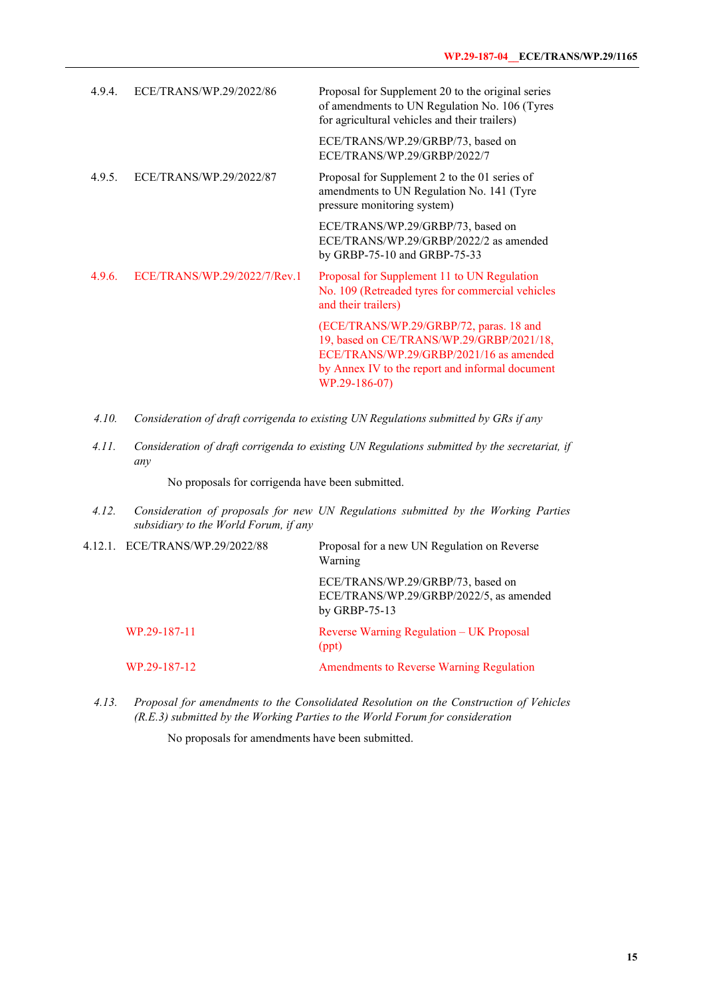| 4.9.4. | ECE/TRANS/WP.29/2022/86      | Proposal for Supplement 20 to the original series<br>of amendments to UN Regulation No. 106 (Tyres<br>for agricultural vehicles and their trailers)                                                 |
|--------|------------------------------|-----------------------------------------------------------------------------------------------------------------------------------------------------------------------------------------------------|
|        |                              | ECE/TRANS/WP.29/GRBP/73, based on<br>ECE/TRANS/WP.29/GRBP/2022/7                                                                                                                                    |
| 4.9.5. | ECE/TRANS/WP.29/2022/87      | Proposal for Supplement 2 to the 01 series of<br>amendments to UN Regulation No. 141 (Tyre<br>pressure monitoring system)                                                                           |
|        |                              | ECE/TRANS/WP.29/GRBP/73, based on<br>ECE/TRANS/WP.29/GRBP/2022/2 as amended<br>by GRBP-75-10 and GRBP-75-33                                                                                         |
| 4.9.6. | ECE/TRANS/WP.29/2022/7/Rev.1 | Proposal for Supplement 11 to UN Regulation<br>No. 109 (Retreaded tyres for commercial vehicles<br>and their trailers)                                                                              |
|        |                              | (ECE/TRANS/WP.29/GRBP/72, paras. 18 and<br>19, based on CE/TRANS/WP.29/GRBP/2021/18,<br>ECE/TRANS/WP.29/GRBP/2021/16 as amended<br>by Annex IV to the report and informal document<br>WP.29-186-07) |

- *4.10. Consideration of draft corrigenda to existing UN Regulations submitted by GRs if any*
- *4.11. Consideration of draft corrigenda to existing UN Regulations submitted by the secretariat, if any*

No proposals for corrigenda have been submitted.

*4.12. Consideration of proposals for new UN Regulations submitted by the Working Parties subsidiary to the World Forum, if any*

|  | 4.12.1. ECE/TRANS/WP.29/2022/88 | Proposal for a new UN Regulation on Reverse<br>Warning                                        |
|--|---------------------------------|-----------------------------------------------------------------------------------------------|
|  |                                 | ECE/TRANS/WP.29/GRBP/73, based on<br>ECE/TRANS/WP.29/GRBP/2022/5, as amended<br>by GRBP-75-13 |
|  | WP.29-187-11                    | Reverse Warning Regulation - UK Proposal<br>(ppt)                                             |
|  | WP.29-187-12                    | Amendments to Reverse Warning Regulation                                                      |

*4.13. Proposal for amendments to the Consolidated Resolution on the Construction of Vehicles (R.E.3) submitted by the Working Parties to the World Forum for consideration*

No proposals for amendments have been submitted.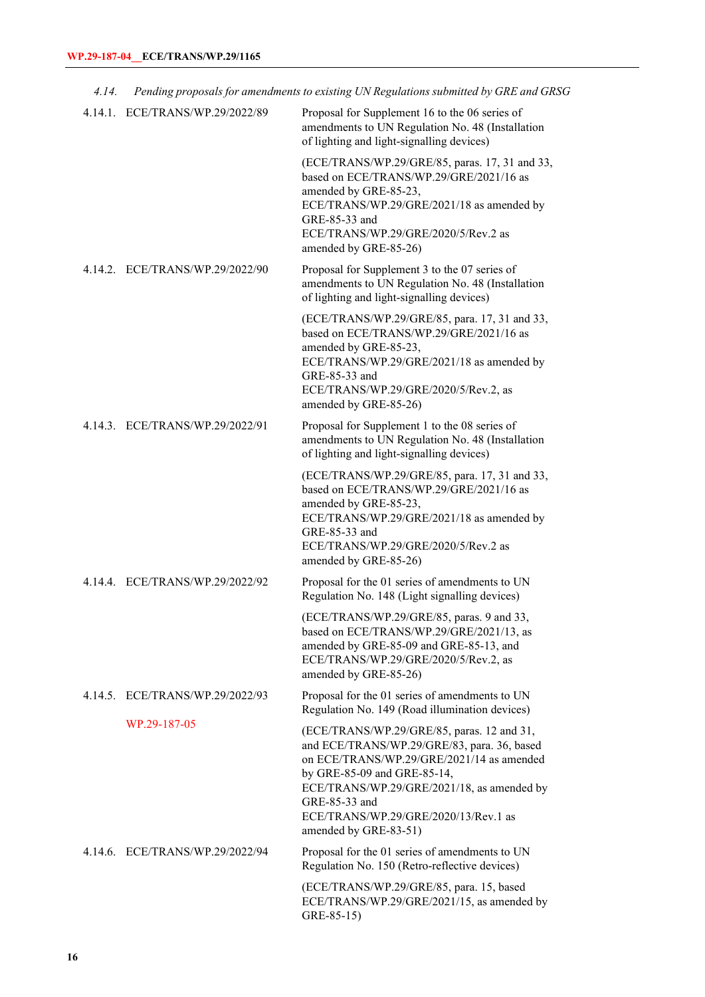| 4.14. |                                 | Pending proposals for amendments to existing UN Regulations submitted by GRE and GRSG                                                                                                                                                                                                                 |
|-------|---------------------------------|-------------------------------------------------------------------------------------------------------------------------------------------------------------------------------------------------------------------------------------------------------------------------------------------------------|
|       | 4.14.1. ECE/TRANS/WP.29/2022/89 | Proposal for Supplement 16 to the 06 series of<br>amendments to UN Regulation No. 48 (Installation<br>of lighting and light-signalling devices)                                                                                                                                                       |
|       |                                 | (ECE/TRANS/WP.29/GRE/85, paras. 17, 31 and 33,<br>based on ECE/TRANS/WP.29/GRE/2021/16 as<br>amended by GRE-85-23,<br>ECE/TRANS/WP.29/GRE/2021/18 as amended by<br>GRE-85-33 and<br>ECE/TRANS/WP.29/GRE/2020/5/Rev.2 as<br>amended by GRE-85-26)                                                      |
|       | 4.14.2. ECE/TRANS/WP.29/2022/90 | Proposal for Supplement 3 to the 07 series of<br>amendments to UN Regulation No. 48 (Installation<br>of lighting and light-signalling devices)                                                                                                                                                        |
|       |                                 | (ECE/TRANS/WP.29/GRE/85, para. 17, 31 and 33,<br>based on ECE/TRANS/WP.29/GRE/2021/16 as<br>amended by GRE-85-23,<br>ECE/TRANS/WP.29/GRE/2021/18 as amended by<br>GRE-85-33 and<br>ECE/TRANS/WP.29/GRE/2020/5/Rev.2, as<br>amended by GRE-85-26)                                                      |
|       | 4.14.3. ECE/TRANS/WP.29/2022/91 | Proposal for Supplement 1 to the 08 series of<br>amendments to UN Regulation No. 48 (Installation<br>of lighting and light-signalling devices)                                                                                                                                                        |
|       |                                 | (ECE/TRANS/WP.29/GRE/85, para. 17, 31 and 33,<br>based on ECE/TRANS/WP.29/GRE/2021/16 as<br>amended by GRE-85-23,<br>ECE/TRANS/WP.29/GRE/2021/18 as amended by<br>GRE-85-33 and<br>ECE/TRANS/WP.29/GRE/2020/5/Rev.2 as<br>amended by GRE-85-26)                                                       |
|       | 4.14.4. ECE/TRANS/WP.29/2022/92 | Proposal for the 01 series of amendments to UN<br>Regulation No. 148 (Light signalling devices)                                                                                                                                                                                                       |
|       |                                 | (ECE/TRANS/WP.29/GRE/85, paras. 9 and 33,<br>based on ECE/TRANS/WP.29/GRE/2021/13, as<br>amended by GRE-85-09 and GRE-85-13, and<br>ECE/TRANS/WP.29/GRE/2020/5/Rev.2, as<br>amended by GRE-85-26)                                                                                                     |
|       | 4.14.5. ECE/TRANS/WP.29/2022/93 | Proposal for the 01 series of amendments to UN<br>Regulation No. 149 (Road illumination devices)                                                                                                                                                                                                      |
|       | WP.29-187-05                    | (ECE/TRANS/WP.29/GRE/85, paras. 12 and 31,<br>and ECE/TRANS/WP.29/GRE/83, para. 36, based<br>on ECE/TRANS/WP.29/GRE/2021/14 as amended<br>by GRE-85-09 and GRE-85-14,<br>ECE/TRANS/WP.29/GRE/2021/18, as amended by<br>GRE-85-33 and<br>ECE/TRANS/WP.29/GRE/2020/13/Rev.1 as<br>amended by GRE-83-51) |
|       | 4.14.6. ECE/TRANS/WP.29/2022/94 | Proposal for the 01 series of amendments to UN<br>Regulation No. 150 (Retro-reflective devices)                                                                                                                                                                                                       |
|       |                                 | (ECE/TRANS/WP.29/GRE/85, para. 15, based<br>ECE/TRANS/WP.29/GRE/2021/15, as amended by<br>GRE-85-15)                                                                                                                                                                                                  |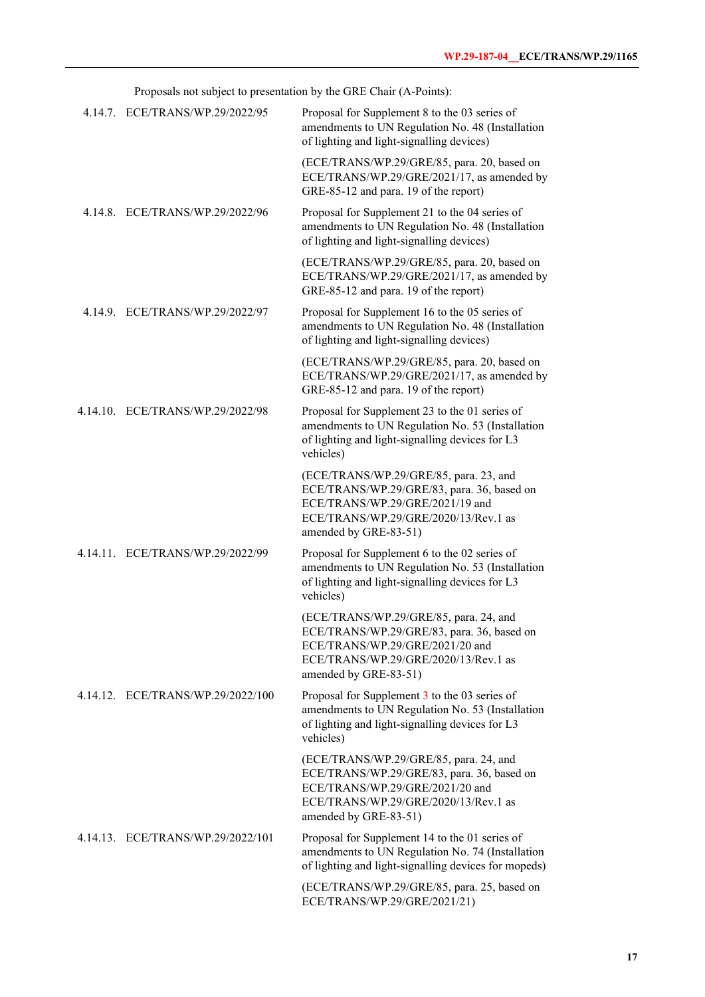Proposals not subject to presentation by the GRE Chair (A-Points):

| 4.14.7. ECE/TRANS/WP.29/2022/95   | Proposal for Supplement 8 to the 03 series of<br>amendments to UN Regulation No. 48 (Installation<br>of lighting and light-signalling devices)                                           |
|-----------------------------------|------------------------------------------------------------------------------------------------------------------------------------------------------------------------------------------|
|                                   | (ECE/TRANS/WP.29/GRE/85, para. 20, based on<br>ECE/TRANS/WP.29/GRE/2021/17, as amended by<br>GRE-85-12 and para. 19 of the report)                                                       |
| 4.14.8. ECE/TRANS/WP.29/2022/96   | Proposal for Supplement 21 to the 04 series of<br>amendments to UN Regulation No. 48 (Installation<br>of lighting and light-signalling devices)                                          |
|                                   | (ECE/TRANS/WP.29/GRE/85, para. 20, based on<br>ECE/TRANS/WP.29/GRE/2021/17, as amended by<br>GRE-85-12 and para. 19 of the report)                                                       |
| 4.14.9. ECE/TRANS/WP.29/2022/97   | Proposal for Supplement 16 to the 05 series of<br>amendments to UN Regulation No. 48 (Installation<br>of lighting and light-signalling devices)                                          |
|                                   | (ECE/TRANS/WP.29/GRE/85, para. 20, based on<br>ECE/TRANS/WP.29/GRE/2021/17, as amended by<br>GRE-85-12 and para. 19 of the report)                                                       |
| 4.14.10. ECE/TRANS/WP.29/2022/98  | Proposal for Supplement 23 to the 01 series of<br>amendments to UN Regulation No. 53 (Installation<br>of lighting and light-signalling devices for L3<br>vehicles)                       |
|                                   | (ECE/TRANS/WP.29/GRE/85, para. 23, and<br>ECE/TRANS/WP.29/GRE/83, para. 36, based on<br>ECE/TRANS/WP.29/GRE/2021/19 and<br>ECE/TRANS/WP.29/GRE/2020/13/Rev.1 as<br>amended by GRE-83-51) |
| 4.14.11. ECE/TRANS/WP.29/2022/99  | Proposal for Supplement 6 to the 02 series of<br>amendments to UN Regulation No. 53 (Installation<br>of lighting and light-signalling devices for L3<br>vehicles)                        |
|                                   | (ECE/TRANS/WP.29/GRE/85, para. 24, and<br>ECE/TRANS/WP.29/GRE/83, para. 36, based on<br>ECE/TRANS/WP.29/GRE/2021/20 and<br>ECE/TRANS/WP.29/GRE/2020/13/Rev.1 as<br>amended by GRE-83-51) |
| 4.14.12. ECE/TRANS/WP.29/2022/100 | Proposal for Supplement 3 to the 03 series of<br>amendments to UN Regulation No. 53 (Installation<br>of lighting and light-signalling devices for L3<br>vehicles)                        |
|                                   | (ECE/TRANS/WP.29/GRE/85, para. 24, and<br>ECE/TRANS/WP.29/GRE/83, para. 36, based on<br>ECE/TRANS/WP.29/GRE/2021/20 and<br>ECE/TRANS/WP.29/GRE/2020/13/Rev.1 as<br>amended by GRE-83-51) |
| 4.14.13. ECE/TRANS/WP.29/2022/101 | Proposal for Supplement 14 to the 01 series of<br>amendments to UN Regulation No. 74 (Installation<br>of lighting and light-signalling devices for mopeds)                               |
|                                   | (ECE/TRANS/WP.29/GRE/85, para. 25, based on<br>ECE/TRANS/WP.29/GRE/2021/21)                                                                                                              |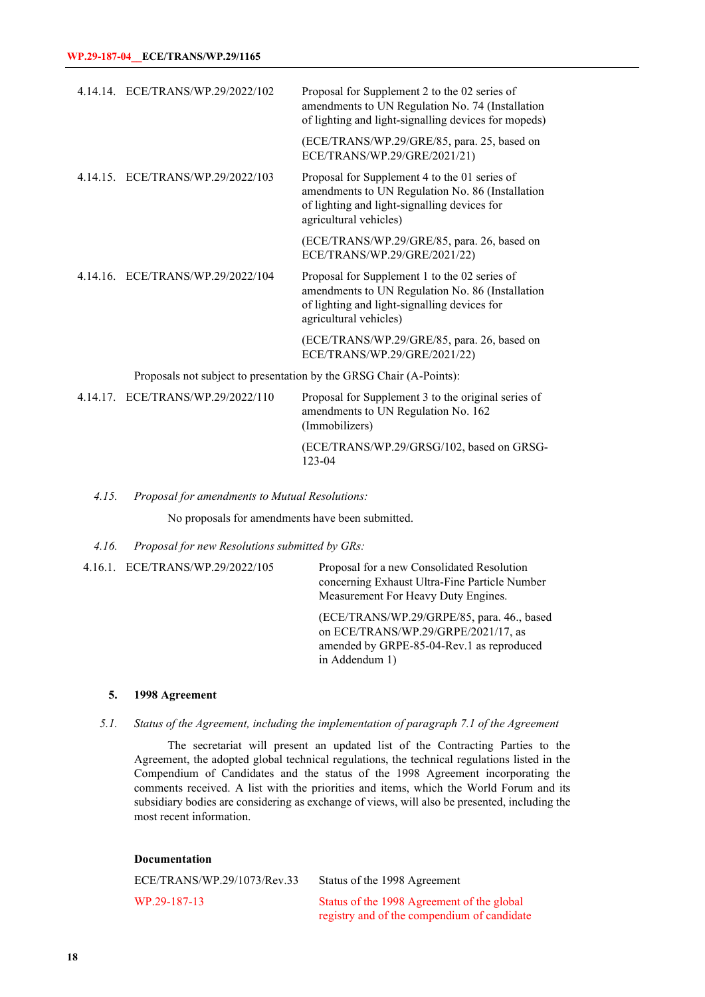|           | 4.14.14. ECE/TRANS/WP.29/2022/102 | Proposal for Supplement 2 to the 02 series of<br>amendments to UN Regulation No. 74 (Installation<br>of lighting and light-signalling devices for mopeds)                   |
|-----------|-----------------------------------|-----------------------------------------------------------------------------------------------------------------------------------------------------------------------------|
|           |                                   | (ECE/TRANS/WP.29/GRE/85, para. 25, based on<br>ECE/TRANS/WP.29/GRE/2021/21)                                                                                                 |
|           | 4.14.15. ECE/TRANS/WP.29/2022/103 | Proposal for Supplement 4 to the 01 series of<br>amendments to UN Regulation No. 86 (Installation<br>of lighting and light-signalling devices for<br>agricultural vehicles) |
|           |                                   | (ECE/TRANS/WP.29/GRE/85, para. 26, based on<br>ECE/TRANS/WP.29/GRE/2021/22)                                                                                                 |
|           | 4.14.16. ECE/TRANS/WP.29/2022/104 | Proposal for Supplement 1 to the 02 series of<br>amendments to UN Regulation No. 86 (Installation<br>of lighting and light-signalling devices for<br>agricultural vehicles) |
|           |                                   | (ECE/TRANS/WP.29/GRE/85, para. 26, based on<br>ECE/TRANS/WP.29/GRE/2021/22)                                                                                                 |
|           |                                   | Proposals not subject to presentation by the GRSG Chair (A-Points):                                                                                                         |
| 4 1 4 1 7 | ECE/TP ANS/WD 20/2022/110         | <b>Proposal for Supplement 3 to the original series of</b>                                                                                                                  |

4.14.17. ECE/TRANS/WP.29/2022/110 Proposal for Supplement 3 to the original series of amendments to UN Regulation No. 162 (Immobilizers) (ECE/TRANS/WP.29/GRSG/102, based on GRSG-123-04

#### *4.15. Proposal for amendments to Mutual Resolutions:*

No proposals for amendments have been submitted.

#### *4.16. Proposal for new Resolutions submitted by GRs:*

4.16.1. ECE/TRANS/WP.29/2022/105 Proposal for a new Consolidated Resolution concerning Exhaust Ultra-Fine Particle Number Measurement For Heavy Duty Engines.

> (ECE/TRANS/WP.29/GRPE/85, para. 46., based on ECE/TRANS/WP.29/GRPE/2021/17, as amended by GRPE-85-04-Rev.1 as reproduced in Addendum 1)

#### **5. 1998 Agreement**

*5.1. Status of the Agreement, including the implementation of paragraph 7.1 of the Agreement*

The secretariat will present an updated list of the Contracting Parties to the Agreement, the adopted global technical regulations, the technical regulations listed in the Compendium of Candidates and the status of the 1998 Agreement incorporating the comments received. A list with the priorities and items, which the World Forum and its subsidiary bodies are considering as exchange of views, will also be presented, including the most recent information.

| <b>Documentation</b>        |                                                                                           |  |
|-----------------------------|-------------------------------------------------------------------------------------------|--|
| ECE/TRANS/WP.29/1073/Rev.33 | Status of the 1998 Agreement                                                              |  |
| WP.29-187-13                | Status of the 1998 Agreement of the global<br>registry and of the compendium of candidate |  |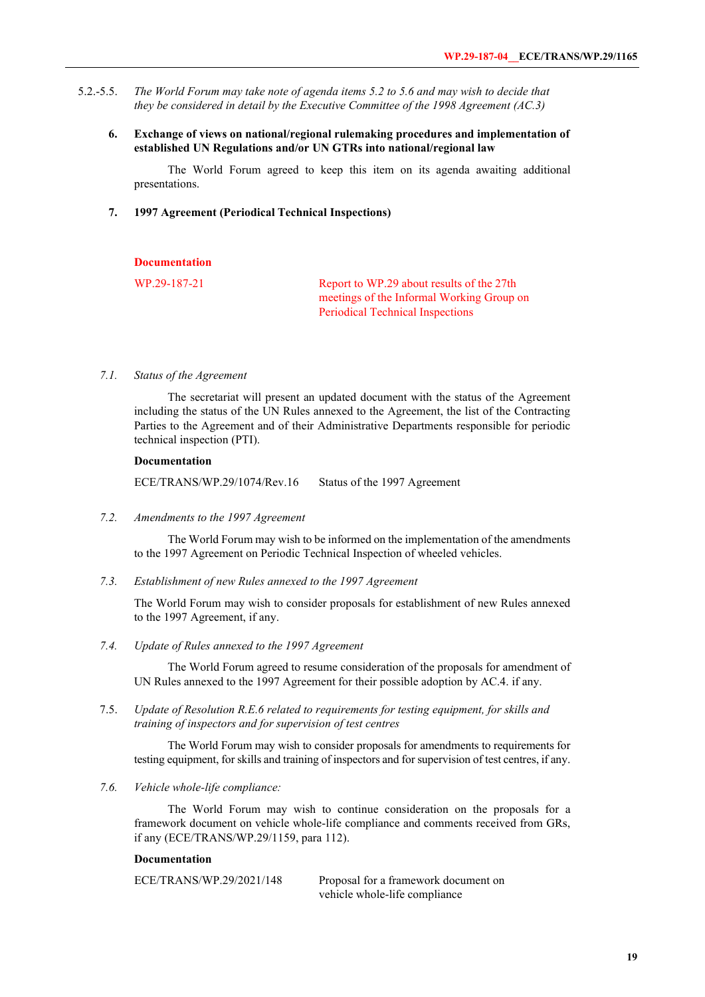- 5.2.-5.5. *The World Forum may take note of agenda items 5.2 to 5.6 and may wish to decide that they be considered in detail by the Executive Committee of the 1998 Agreement (AC.3)*
	- **6. Exchange of views on national/regional rulemaking procedures and implementation of established UN Regulations and/or UN GTRs into national/regional law**

The World Forum agreed to keep this item on its agenda awaiting additional presentations.

**7. 1997 Agreement (Periodical Technical Inspections)**

#### **Documentation**

WP.29-187-21 Report to WP.29 about results of the 27th meetings of the Informal Working Group on Periodical Technical Inspections

#### *7.1. Status of the Agreement*

The secretariat will present an updated document with the status of the Agreement including the status of the UN Rules annexed to the Agreement, the list of the Contracting Parties to the Agreement and of their Administrative Departments responsible for periodic technical inspection (PTI).

#### **Documentation**

ECE/TRANS/WP.29/1074/Rev.16 Status of the 1997 Agreement

*7.2. Amendments to the 1997 Agreement*

The World Forum may wish to be informed on the implementation of the amendments to the 1997 Agreement on Periodic Technical Inspection of wheeled vehicles.

*7.3. Establishment of new Rules annexed to the 1997 Agreement*

The World Forum may wish to consider proposals for establishment of new Rules annexed to the 1997 Agreement, if any.

*7.4. Update of Rules annexed to the 1997 Agreement*

The World Forum agreed to resume consideration of the proposals for amendment of UN Rules annexed to the 1997 Agreement for their possible adoption by AC.4. if any.

7.5. *Update of Resolution R.E.6 related to requirements for testing equipment, for skills and training of inspectors and for supervision of test centres*

The World Forum may wish to consider proposals for amendments to requirements for testing equipment, for skills and training of inspectors and for supervision of test centres, if any.

*7.6. Vehicle whole-life compliance:*

The World Forum may wish to continue consideration on the proposals for a framework document on vehicle whole-life compliance and comments received from GRs, if any (ECE/TRANS/WP.29/1159, para 112).

#### **Documentation**

ECE/TRANS/WP.29/2021/148 Proposal for a framework document on vehicle whole-life compliance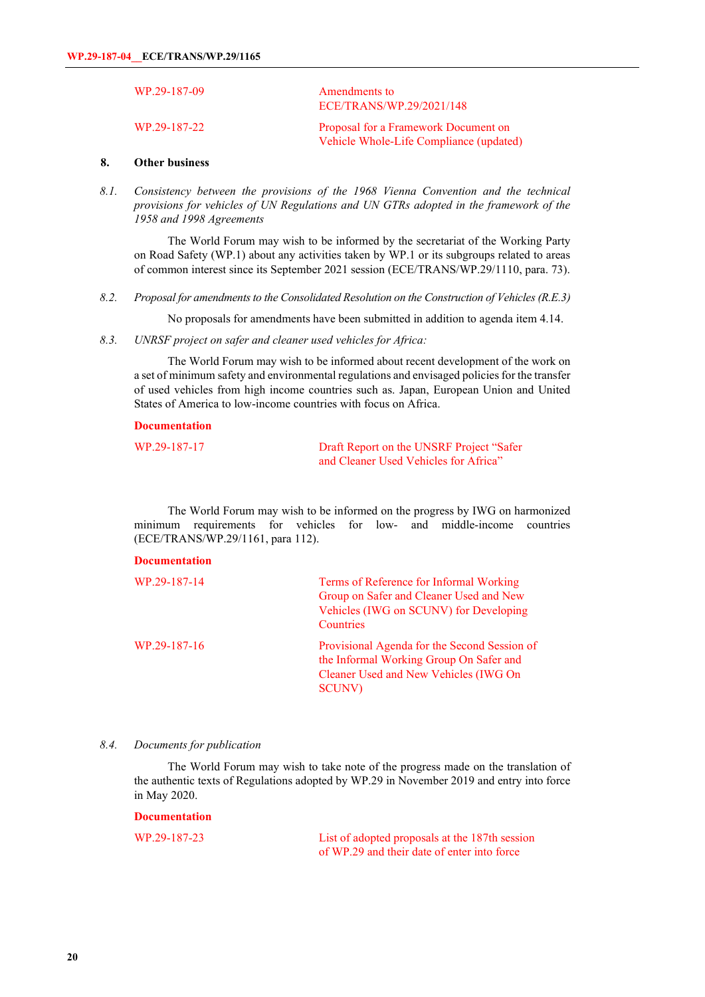| WP.29-187-09 | Amendments to<br>ECE/TRANS/WP.29/2021/148                                       |
|--------------|---------------------------------------------------------------------------------|
| WP.29-187-22 | Proposal for a Framework Document on<br>Vehicle Whole-Life Compliance (updated) |

## **8. Other business**

*8.1. Consistency between the provisions of the 1968 Vienna Convention and the technical provisions for vehicles of UN Regulations and UN GTRs adopted in the framework of the 1958 and 1998 Agreements*

The World Forum may wish to be informed by the secretariat of the Working Party on Road Safety (WP.1) about any activities taken by WP.1 or its subgroups related to areas of common interest since its September 2021 session (ECE/TRANS/WP.29/1110, para. 73).

*8.2. Proposal for amendments to the Consolidated Resolution on the Construction of Vehicles (R.E.3)*

No proposals for amendments have been submitted in addition to agenda item 4.14.

*8.3. UNRSF project on safer and cleaner used vehicles for Africa:*

The World Forum may wish to be informed about recent development of the work on a set of minimum safety and environmental regulations and envisaged policies for the transfer of used vehicles from high income countries such as. Japan, European Union and United States of America to low-income countries with focus on Africa.

#### **Documentation**

| WP.29-187-17 | Draft Report on the UNSRF Project "Safer |
|--------------|------------------------------------------|
|              | and Cleaner Used Vehicles for Africa"    |

The World Forum may wish to be informed on the progress by IWG on harmonized minimum requirements for vehicles for low- and middle-income countries (ECE/TRANS/WP.29/1161, para 112).

#### **Documentation**

| WP.29-187-14 | Terms of Reference for Informal Working<br>Group on Safer and Cleaner Used and New<br>Vehicles (IWG on SCUNV) for Developing<br>Countries          |
|--------------|----------------------------------------------------------------------------------------------------------------------------------------------------|
| WP.29-187-16 | Provisional Agenda for the Second Session of<br>the Informal Working Group On Safer and<br>Cleaner Used and New Vehicles (IWG On<br><b>SCUNV</b> ) |

#### *8.4. Documents for publication*

**Documentation**

The World Forum may wish to take note of the progress made on the translation of the authentic texts of Regulations adopted by WP.29 in November 2019 and entry into force in May 2020.

| WP.29-187-23 | List of adopted proposals at the 187th session |
|--------------|------------------------------------------------|
|              | of WP.29 and their date of enter into force    |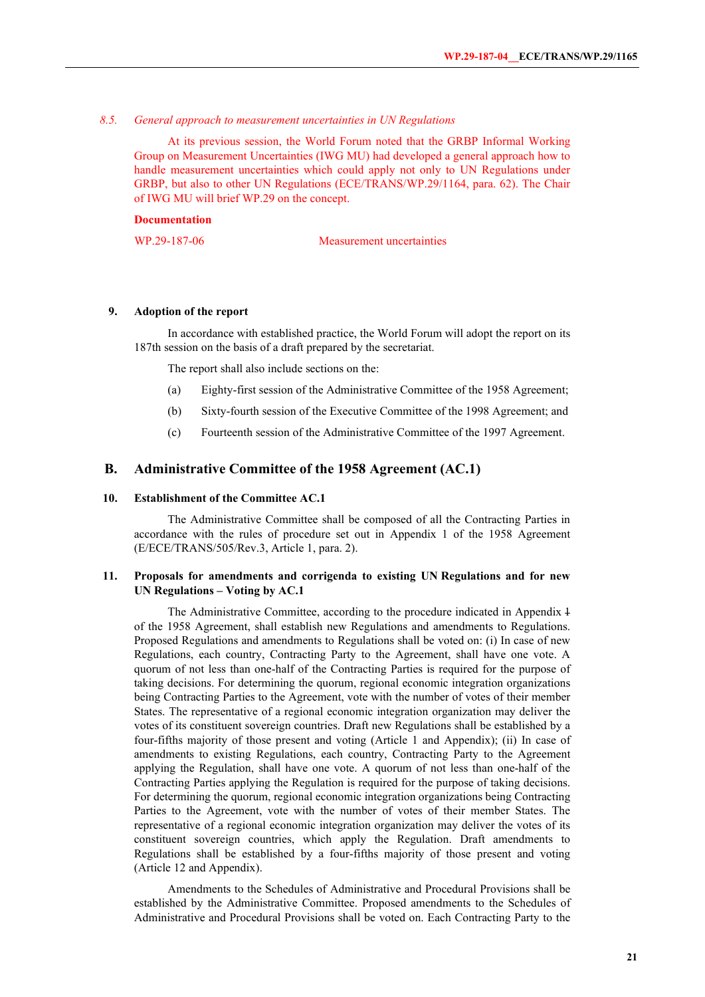#### *8.5. General approach to measurement uncertainties in UN Regulations*

At its previous session, the World Forum noted that the GRBP Informal Working Group on Measurement Uncertainties (IWG MU) had developed a general approach how to handle measurement uncertainties which could apply not only to UN Regulations under GRBP, but also to other UN Regulations (ECE/TRANS/WP.29/1164, para. 62). The Chair of IWG MU will brief WP.29 on the concept.

#### **Documentation**

WP.29-187-06 Measurement uncertainties

#### **9. Adoption of the report**

In accordance with established practice, the World Forum will adopt the report on its 187th session on the basis of a draft prepared by the secretariat.

The report shall also include sections on the:

- (a) Eighty-first session of the Administrative Committee of the 1958 Agreement;
- (b) Sixty-fourth session of the Executive Committee of the 1998 Agreement; and
- (c) Fourteenth session of the Administrative Committee of the 1997 Agreement.

#### **B. Administrative Committee of the 1958 Agreement (AC.1)**

## **10. Establishment of the Committee AC.1**

 The Administrative Committee shall be composed of all the Contracting Parties in accordance with the rules of procedure set out in Appendix 1 of the 1958 Agreement (E/ECE/TRANS/505/Rev.3, Article 1, para. 2).

## **11. Proposals for amendments and corrigenda to existing UN Regulations and for new UN Regulations – Voting by AC.1**

The Administrative Committee, according to the procedure indicated in Appendix 4 of the 1958 Agreement, shall establish new Regulations and amendments to Regulations. Proposed Regulations and amendments to Regulations shall be voted on: (i) In case of new Regulations, each country, Contracting Party to the Agreement, shall have one vote. A quorum of not less than one-half of the Contracting Parties is required for the purpose of taking decisions. For determining the quorum, regional economic integration organizations being Contracting Parties to the Agreement, vote with the number of votes of their member States. The representative of a regional economic integration organization may deliver the votes of its constituent sovereign countries. Draft new Regulations shall be established by a four-fifths majority of those present and voting (Article 1 and Appendix); (ii) In case of amendments to existing Regulations, each country, Contracting Party to the Agreement applying the Regulation, shall have one vote. A quorum of not less than one-half of the Contracting Parties applying the Regulation is required for the purpose of taking decisions. For determining the quorum, regional economic integration organizations being Contracting Parties to the Agreement, vote with the number of votes of their member States. The representative of a regional economic integration organization may deliver the votes of its constituent sovereign countries, which apply the Regulation. Draft amendments to Regulations shall be established by a four-fifths majority of those present and voting (Article 12 and Appendix).

Amendments to the Schedules of Administrative and Procedural Provisions shall be established by the Administrative Committee. Proposed amendments to the Schedules of Administrative and Procedural Provisions shall be voted on. Each Contracting Party to the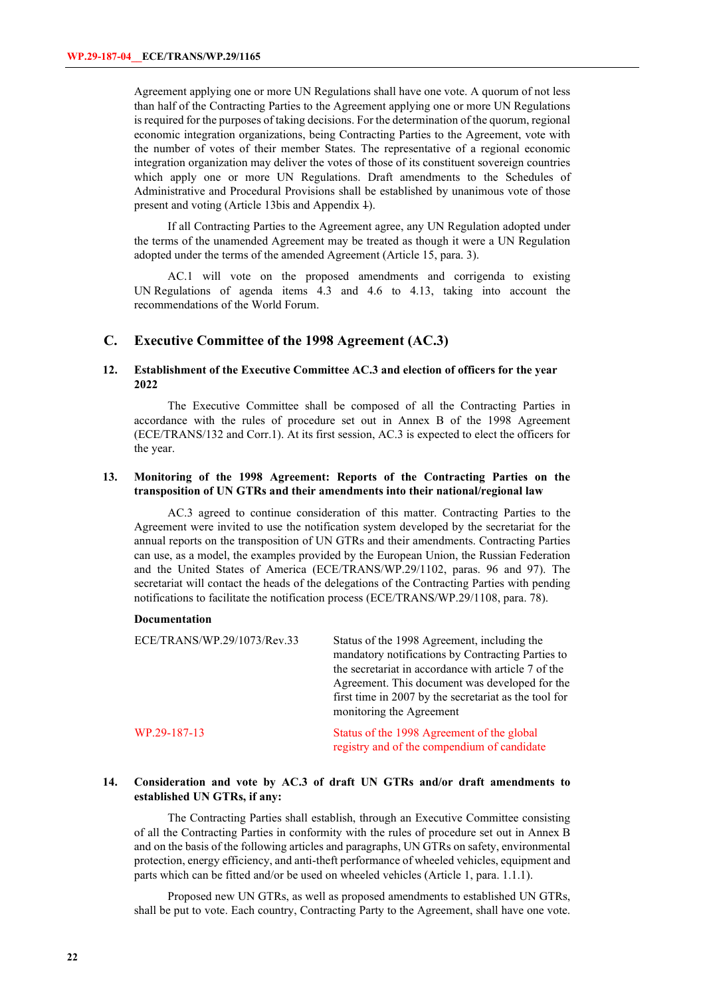Agreement applying one or more UN Regulations shall have one vote. A quorum of not less than half of the Contracting Parties to the Agreement applying one or more UN Regulations is required for the purposes of taking decisions. For the determination of the quorum, regional economic integration organizations, being Contracting Parties to the Agreement, vote with the number of votes of their member States. The representative of a regional economic integration organization may deliver the votes of those of its constituent sovereign countries which apply one or more UN Regulations. Draft amendments to the Schedules of Administrative and Procedural Provisions shall be established by unanimous vote of those present and voting (Article 13bis and Appendix 1).

If all Contracting Parties to the Agreement agree, any UN Regulation adopted under the terms of the unamended Agreement may be treated as though it were a UN Regulation adopted under the terms of the amended Agreement (Article 15, para. 3).

AC.1 will vote on the proposed amendments and corrigenda to existing UN Regulations of agenda items 4.3 and 4.6 to 4.13, taking into account the recommendations of the World Forum.

#### **C. Executive Committee of the 1998 Agreement (AC.3)**

## **12. Establishment of the Executive Committee AC.3 and election of officers for the year 2022**

The Executive Committee shall be composed of all the Contracting Parties in accordance with the rules of procedure set out in Annex B of the 1998 Agreement (ECE/TRANS/132 and Corr.1). At its first session, AC.3 is expected to elect the officers for the year.

## **13. Monitoring of the 1998 Agreement: Reports of the Contracting Parties on the transposition of UN GTRs and their amendments into their national/regional law**

AC.3 agreed to continue consideration of this matter. Contracting Parties to the Agreement were invited to use the notification system developed by the secretariat for the annual reports on the transposition of UN GTRs and their amendments. Contracting Parties can use, as a model, the examples provided by the European Union, the Russian Federation and the United States of America (ECE/TRANS/WP.29/1102, paras. 96 and 97). The secretariat will contact the heads of the delegations of the Contracting Parties with pending notifications to facilitate the notification process (ECE/TRANS/WP.29/1108, para. 78).

#### **Documentation**

| ECE/TRANS/WP.29/1073/Rev.33 | Status of the 1998 Agreement, including the<br>mandatory notifications by Contracting Parties to<br>the secretariat in accordance with article 7 of the<br>Agreement. This document was developed for the<br>first time in 2007 by the secretariat as the tool for<br>monitoring the Agreement |
|-----------------------------|------------------------------------------------------------------------------------------------------------------------------------------------------------------------------------------------------------------------------------------------------------------------------------------------|
| WP.29-187-13                | Status of the 1998 Agreement of the global<br>registry and of the compendium of candidate                                                                                                                                                                                                      |

## **14. Consideration and vote by AC.3 of draft UN GTRs and/or draft amendments to established UN GTRs, if any:**

The Contracting Parties shall establish, through an Executive Committee consisting of all the Contracting Parties in conformity with the rules of procedure set out in Annex B and on the basis of the following articles and paragraphs, UN GTRs on safety, environmental protection, energy efficiency, and anti-theft performance of wheeled vehicles, equipment and parts which can be fitted and/or be used on wheeled vehicles (Article 1, para. 1.1.1).

Proposed new UN GTRs, as well as proposed amendments to established UN GTRs, shall be put to vote. Each country, Contracting Party to the Agreement, shall have one vote.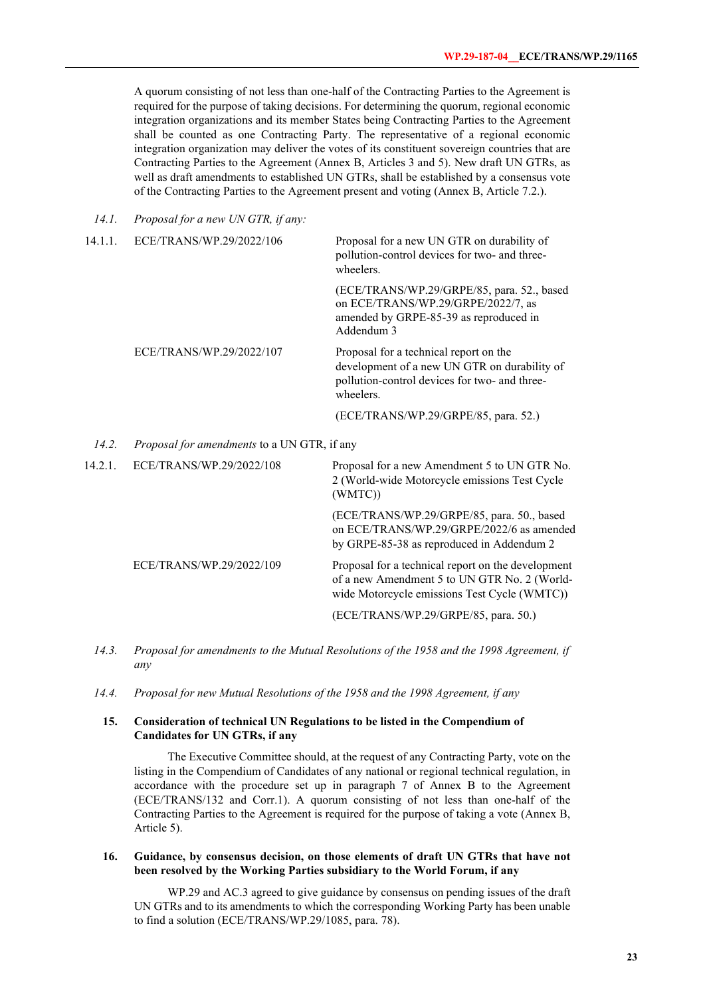A quorum consisting of not less than one-half of the Contracting Parties to the Agreement is required for the purpose of taking decisions. For determining the quorum, regional economic integration organizations and its member States being Contracting Parties to the Agreement shall be counted as one Contracting Party. The representative of a regional economic integration organization may deliver the votes of its constituent sovereign countries that are Contracting Parties to the Agreement (Annex B, Articles 3 and 5). New draft UN GTRs, as well as draft amendments to established UN GTRs, shall be established by a consensus vote of the Contracting Parties to the Agreement present and voting (Annex B, Article 7.2.).

*14.1. Proposal for a new UN GTR, if any:*

| 14.1.1. | ECE/TRANS/WP.29/2022/106                           | Proposal for a new UN GTR on durability of<br>pollution-control devices for two- and three-<br>wheelers.                                             |
|---------|----------------------------------------------------|------------------------------------------------------------------------------------------------------------------------------------------------------|
|         |                                                    | (ECE/TRANS/WP.29/GRPE/85, para. 52., based<br>on ECE/TRANS/WP.29/GRPE/2022/7, as<br>amended by GRPE-85-39 as reproduced in<br>Addendum 3             |
|         | ECE/TRANS/WP.29/2022/107                           | Proposal for a technical report on the<br>development of a new UN GTR on durability of<br>pollution-control devices for two- and three-<br>wheelers. |
|         |                                                    | (ECE/TRANS/WP.29/GRPE/85, para. 52.)                                                                                                                 |
| 14.2.   | <i>Proposal for amendments</i> to a UN GTR, if any |                                                                                                                                                      |
| 14.2.1. | ECE/TRANS/WP.29/2022/108                           | Proposal for a new Amendment 5 to UN GTR No.                                                                                                         |

- 14.2.1. ECE/TRANS/WP.29/2022/108 Proposal for a new Amendment 5 to UN GTR No. 2 (World-wide Motorcycle emissions Test Cycle (WMTC)) (ECE/TRANS/WP.29/GRPE/85, para. 50., based on ECE/TRANS/WP.29/GRPE/2022/6 as amended by GRPE-85-38 as reproduced in Addendum 2 ECE/TRANS/WP.29/2022/109 Proposal for a technical report on the development of a new Amendment 5 to UN GTR No. 2 (Worldwide Motorcycle emissions Test Cycle (WMTC)) (ECE/TRANS/WP.29/GRPE/85, para. 50.)
	- *14.3. Proposal for amendments to the Mutual Resolutions of the 1958 and the 1998 Agreement, if any*
	- *14.4. Proposal for new Mutual Resolutions of the 1958 and the 1998 Agreement, if any*

## **15. Consideration of technical UN Regulations to be listed in the Compendium of Candidates for UN GTRs, if any**

The Executive Committee should, at the request of any Contracting Party, vote on the listing in the Compendium of Candidates of any national or regional technical regulation, in accordance with the procedure set up in paragraph 7 of Annex B to the Agreement (ECE/TRANS/132 and Corr.1). A quorum consisting of not less than one-half of the Contracting Parties to the Agreement is required for the purpose of taking a vote (Annex B, Article 5).

### **16. Guidance, by consensus decision, on those elements of draft UN GTRs that have not been resolved by the Working Parties subsidiary to the World Forum, if any**

WP.29 and AC.3 agreed to give guidance by consensus on pending issues of the draft UN GTRs and to its amendments to which the corresponding Working Party has been unable to find a solution (ECE/TRANS/WP.29/1085, para. 78).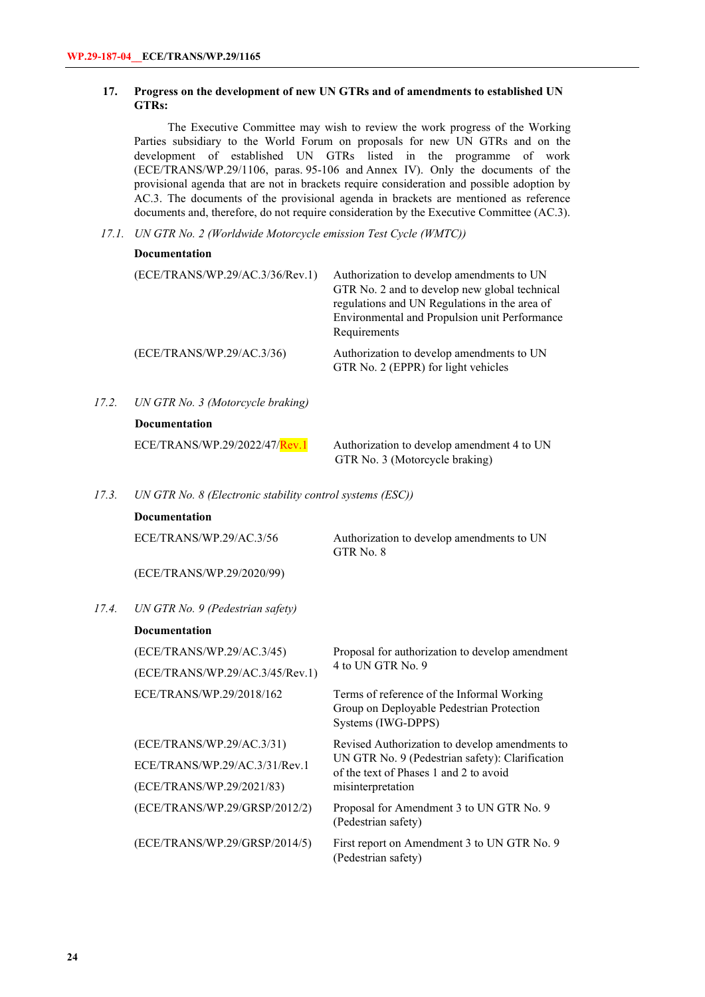## **17. Progress on the development of new UN GTRs and of amendments to established UN GTRs:**

The Executive Committee may wish to review the work progress of the Working Parties subsidiary to the World Forum on proposals for new UN GTRs and on the development of established UN GTRs listed in the programme of work (ECE/TRANS/WP.29/1106, paras. 95-106 and Annex IV). Only the documents of the provisional agenda that are not in brackets require consideration and possible adoption by AC.3. The documents of the provisional agenda in brackets are mentioned as reference documents and, therefore, do not require consideration by the Executive Committee (AC.3).

 *17.1. UN GTR No. 2 (Worldwide Motorcycle emission Test Cycle (WMTC))* 

| <b>Documentation</b> |  |
|----------------------|--|
|----------------------|--|

|       | (ECE/TRANS/WP.29/AC.3/36/Rev.1)   | Authorization to develop amendments to UN<br>GTR No. 2 and to develop new global technical<br>regulations and UN Regulations in the area of<br>Environmental and Propulsion unit Performance<br>Requirements |
|-------|-----------------------------------|--------------------------------------------------------------------------------------------------------------------------------------------------------------------------------------------------------------|
|       | (ECE/TRANS/WP.29/AC.3/36)         | Authorization to develop amendments to UN<br>GTR No. 2 (EPPR) for light vehicles                                                                                                                             |
| 17.2. | UN GTR No. 3 (Motorcycle braking) |                                                                                                                                                                                                              |
|       | <b>Documentation</b>              |                                                                                                                                                                                                              |
|       | ECE/TRANS/WP.29/2022/47/Rev.1     | Authorization to develop amendment 4 to UN<br>GTR No. 3 (Motorcycle braking)                                                                                                                                 |

*17.3. UN GTR No. 8 (Electronic stability control systems (ESC))*

### **Documentation**

ECE/TRANS/WP.29/AC.3/56

Authorization to develop amendments to UN GTR No. 8

(ECE/TRANS/WP.29/2020/99)

*17.4. UN GTR No. 9 (Pedestrian safety)*

#### **Documentation**

| (ECE/TRANS/WP.29/AC.3/45)       | Proposal for authorization to develop amendment                                                               |  |
|---------------------------------|---------------------------------------------------------------------------------------------------------------|--|
| (ECE/TRANS/WP.29/AC.3/45/Rev.1) | 4 to UN GTR No. 9                                                                                             |  |
| ECE/TRANS/WP.29/2018/162        | Terms of reference of the Informal Working<br>Group on Deployable Pedestrian Protection<br>Systems (IWG-DPPS) |  |
| (ECE/TRANS/WP.29/AC.3/31)       | Revised Authorization to develop amendments to                                                                |  |
| ECE/TRANS/WP.29/AC.3/31/Rev.1   | UN GTR No. 9 (Pedestrian safety): Clarification<br>of the text of Phases 1 and 2 to avoid                     |  |
| (ECE/TRANS/WP.29/2021/83)       | misinterpretation                                                                                             |  |
| (ECE/TRANS/WP.29/GRSP/2012/2)   | Proposal for Amendment 3 to UN GTR No. 9<br>(Pedestrian safety)                                               |  |
| (ECE/TRANS/WP.29/GRSP/2014/5)   | First report on Amendment 3 to UN GTR No. 9<br>(Pedestrian safety)                                            |  |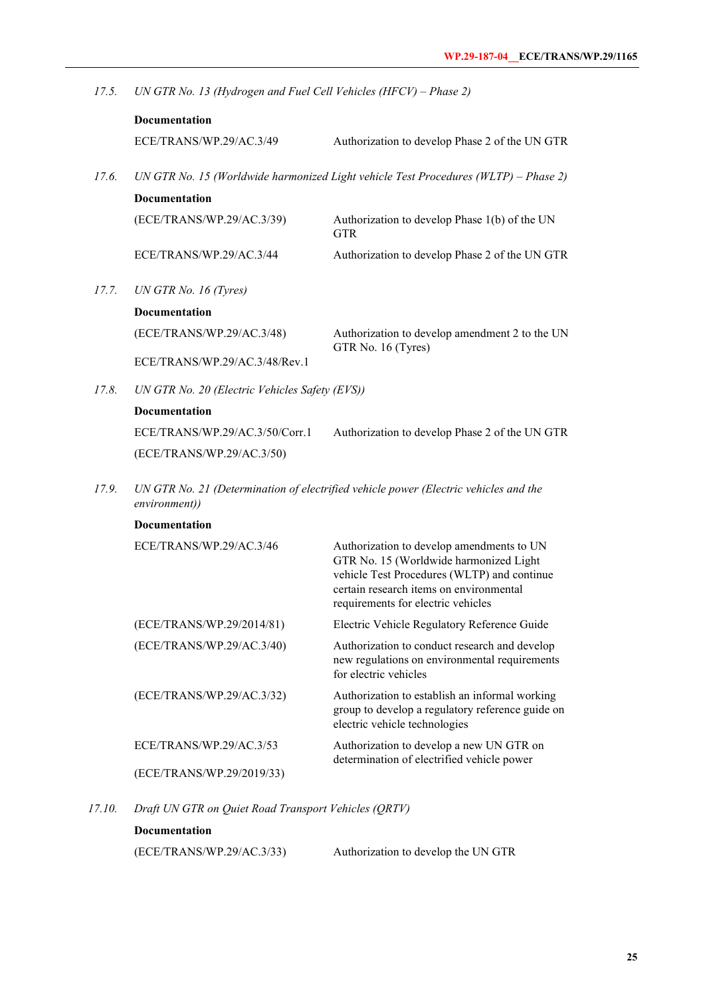*17.5. UN GTR No. 13 (Hydrogen and Fuel Cell Vehicles (HFCV) – Phase 2)*

| Documentation                                                                       |                                                                      |
|-------------------------------------------------------------------------------------|----------------------------------------------------------------------|
| ECE/TRANS/WP.29/AC.3/49                                                             | Authorization to develop Phase 2 of the UN GTR                       |
| UN GTR No. 15 (Worldwide harmonized Light vehicle Test Procedures (WLTP) - Phase 2) |                                                                      |
| <b>Documentation</b>                                                                |                                                                      |
| (ECE/TRANS/WP.29/AC.3/39)                                                           | Authorization to develop Phase 1(b) of the UN<br><b>GTR</b>          |
| ECE/TRANS/WP.29/AC.3/44                                                             | Authorization to develop Phase 2 of the UN GTR                       |
| UN GTR No. 16 $(Tyres)$                                                             |                                                                      |
| <b>Documentation</b>                                                                |                                                                      |
| (ECE/TRANS/WP.29/AC.3/48)                                                           | Authorization to develop amendment 2 to the UN<br>GTR No. 16 (Tyres) |
| ECE/TRANS/WP.29/AC.3/48/Rev.1                                                       |                                                                      |
| UN GTR No. 20 (Electric Vehicles Safety (EVS))                                      |                                                                      |
| Documentation                                                                       |                                                                      |
| ECE/TRANS/WP.29/AC.3/50/Corr.1                                                      | Authorization to develop Phase 2 of the UN GTR                       |
| (ECE/TRANS/WP.29/AC.3/50)                                                           |                                                                      |
|                                                                                     |                                                                      |

*17.9. UN GTR No. 21 (Determination of electrified vehicle power (Electric vehicles and the environment))*

| <b>Documentation</b>      |                                                                                                                                                                                                                     |
|---------------------------|---------------------------------------------------------------------------------------------------------------------------------------------------------------------------------------------------------------------|
| ECE/TRANS/WP.29/AC.3/46   | Authorization to develop amendments to UN<br>GTR No. 15 (Worldwide harmonized Light<br>vehicle Test Procedures (WLTP) and continue<br>certain research items on environmental<br>requirements for electric vehicles |
| (ECE/TRANS/WP.29/2014/81) | Electric Vehicle Regulatory Reference Guide                                                                                                                                                                         |
| (ECE/TRANS/WP.29/AC.3/40) | Authorization to conduct research and develop<br>new regulations on environmental requirements<br>for electric vehicles                                                                                             |
| (ECE/TRANS/WP.29/AC.3/32) | Authorization to establish an informal working<br>group to develop a regulatory reference guide on<br>electric vehicle technologies                                                                                 |
| ECE/TRANS/WP.29/AC.3/53   | Authorization to develop a new UN GTR on<br>determination of electrified vehicle power                                                                                                                              |
| (ECE/TRANS/WP.29/2019/33) |                                                                                                                                                                                                                     |

*17.10. Draft UN GTR on Quiet Road Transport Vehicles (QRTV)*

## **Documentation**

(ECE/TRANS/WP.29/AC.3/33) Authorization to develop the UN GTR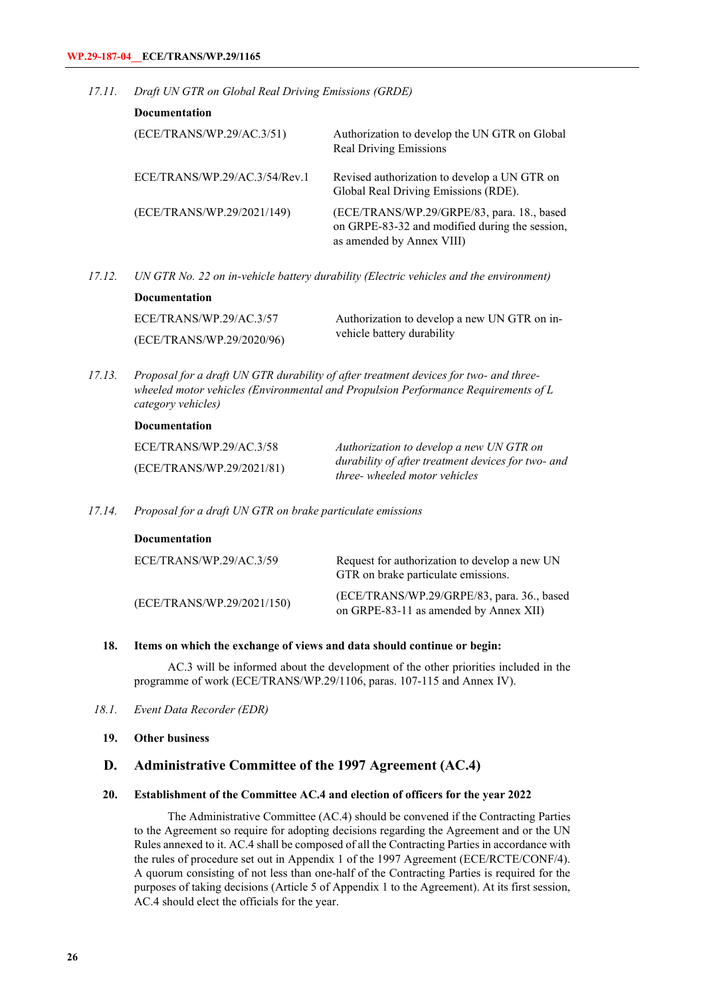*17.11. Draft UN GTR on Global Real Driving Emissions (GRDE)*

| Documentation                 |                                                                                                                           |
|-------------------------------|---------------------------------------------------------------------------------------------------------------------------|
| (ECE/TRANS/WP.29/AC.3/51)     | Authorization to develop the UN GTR on Global<br><b>Real Driving Emissions</b>                                            |
| ECE/TRANS/WP.29/AC.3/54/Rev.1 | Revised authorization to develop a UN GTR on<br>Global Real Driving Emissions (RDE).                                      |
| (ECE/TRANS/WP.29/2021/149)    | (ECE/TRANS/WP.29/GRPE/83, para. 18., based<br>on GRPE-83-32 and modified during the session,<br>as amended by Annex VIII) |

*17.12. UN GTR No. 22 on in-vehicle battery durability (Electric vehicles and the environment)*

| <b>Documentation</b>      |                                              |
|---------------------------|----------------------------------------------|
| ECE/TRANS/WP.29/AC.3/57   | Authorization to develop a new UN GTR on in- |
| (ECE/TRANS/WP.29/2020/96) | vehicle battery durability                   |

*17.13. Proposal for a draft UN GTR durability of after treatment devices for two- and threewheeled motor vehicles (Environmental and Propulsion Performance Requirements of L category vehicles)*

#### **Documentation**

| ECE/TRANS/WP.29/AC.3/58   | Authorization to develop a new UN GTR on                                            |
|---------------------------|-------------------------------------------------------------------------------------|
| (ECE/TRANS/WP.29/2021/81) | durability of after treatment devices for two- and<br>three- wheeled motor vehicles |

*17.14. Proposal for a draft UN GTR on brake particulate emissions*

| Documentation              |                                                                                      |
|----------------------------|--------------------------------------------------------------------------------------|
| ECE/TRANS/WP.29/AC.3/59    | Request for authorization to develop a new UN<br>GTR on brake particulate emissions. |
| (ECE/TRANS/WP.29/2021/150) | (ECE/TRANS/WP.29/GRPE/83, para. 36., based<br>on GRPE-83-11 as amended by Annex XII) |

### **18. Items on which the exchange of views and data should continue or begin:**

AC.3 will be informed about the development of the other priorities included in the programme of work (ECE/TRANS/WP.29/1106, paras. 107-115 and Annex IV).

- *18.1. Event Data Recorder (EDR)*
	- **19. Other business**

## **D. Administrative Committee of the 1997 Agreement (AC.4)**

## **20. Establishment of the Committee AC.4 and election of officers for the year 2022**

The Administrative Committee (AC.4) should be convened if the Contracting Parties to the Agreement so require for adopting decisions regarding the Agreement and or the UN Rules annexed to it. AC.4 shall be composed of all the Contracting Parties in accordance with the rules of procedure set out in Appendix 1 of the 1997 Agreement (ECE/RCTE/CONF/4). A quorum consisting of not less than one-half of the Contracting Parties is required for the purposes of taking decisions (Article 5 of Appendix 1 to the Agreement). At its first session, AC.4 should elect the officials for the year.